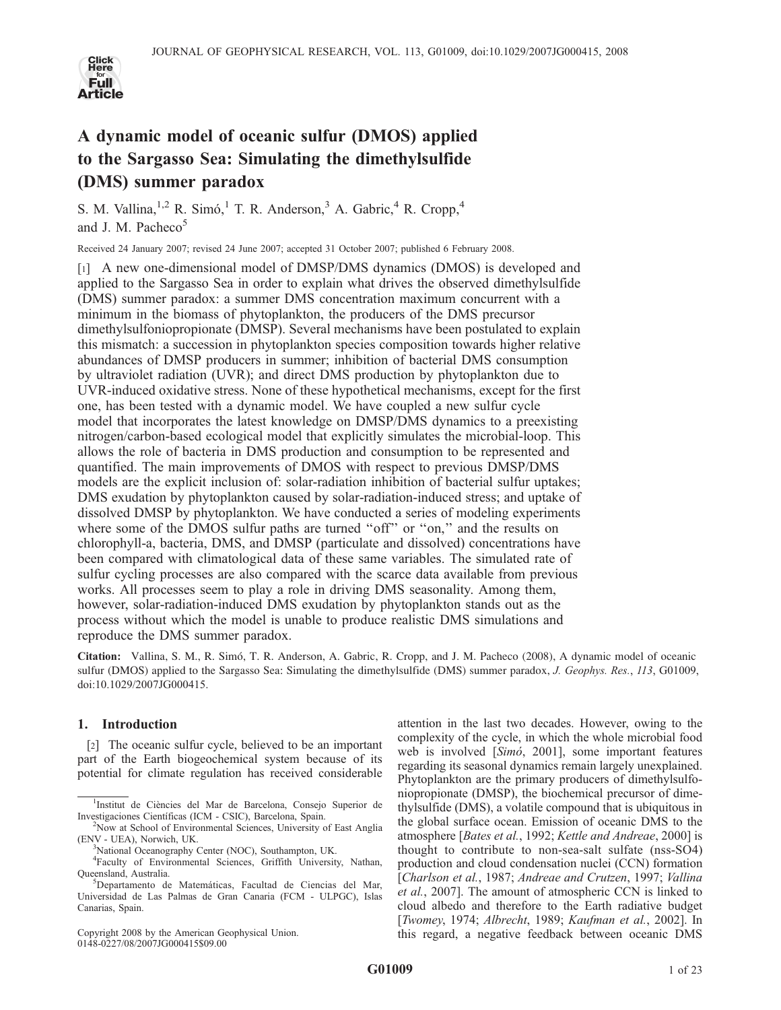

# A dynamic model of oceanic sulfur (DMOS) applied to the Sargasso Sea: Simulating the dimethylsulfide (DMS) summer paradox

S. M. Vallina, <sup>1,2</sup> R. Simó, <sup>1</sup> T. R. Anderson, <sup>3</sup> A. Gabric, <sup>4</sup> R. Cropp, <sup>4</sup> and J. M. Pacheco<sup>5</sup>

Received 24 January 2007; revised 24 June 2007; accepted 31 October 2007; published 6 February 2008.

[1] A new one-dimensional model of DMSP/DMS dynamics (DMOS) is developed and applied to the Sargasso Sea in order to explain what drives the observed dimethylsulfide (DMS) summer paradox: a summer DMS concentration maximum concurrent with a minimum in the biomass of phytoplankton, the producers of the DMS precursor dimethylsulfoniopropionate (DMSP). Several mechanisms have been postulated to explain this mismatch: a succession in phytoplankton species composition towards higher relative abundances of DMSP producers in summer; inhibition of bacterial DMS consumption by ultraviolet radiation (UVR); and direct DMS production by phytoplankton due to UVR-induced oxidative stress. None of these hypothetical mechanisms, except for the first one, has been tested with a dynamic model. We have coupled a new sulfur cycle model that incorporates the latest knowledge on DMSP/DMS dynamics to a preexisting nitrogen/carbon-based ecological model that explicitly simulates the microbial-loop. This allows the role of bacteria in DMS production and consumption to be represented and quantified. The main improvements of DMOS with respect to previous DMSP/DMS models are the explicit inclusion of: solar-radiation inhibition of bacterial sulfur uptakes; DMS exudation by phytoplankton caused by solar-radiation-induced stress; and uptake of dissolved DMSP by phytoplankton. We have conducted a series of modeling experiments where some of the DMOS sulfur paths are turned "off" or "on," and the results on chlorophyll-a, bacteria, DMS, and DMSP (particulate and dissolved) concentrations have been compared with climatological data of these same variables. The simulated rate of sulfur cycling processes are also compared with the scarce data available from previous works. All processes seem to play a role in driving DMS seasonality. Among them, however, solar-radiation-induced DMS exudation by phytoplankton stands out as the process without which the model is unable to produce realistic DMS simulations and reproduce the DMS summer paradox.

Citation: Vallina, S. M., R. Simo´, T. R. Anderson, A. Gabric, R. Cropp, and J. M. Pacheco (2008), A dynamic model of oceanic sulfur (DMOS) applied to the Sargasso Sea: Simulating the dimethylsulfide (DMS) summer paradox, J. Geophys. Res., 113, G01009, doi:10.1029/2007JG000415.

## 1. Introduction

[2] The oceanic sulfur cycle, believed to be an important part of the Earth biogeochemical system because of its potential for climate regulation has received considerable

Copyright 2008 by the American Geophysical Union. 0148-0227/08/2007JG000415\$09.00

attention in the last two decades. However, owing to the complexity of the cycle, in which the whole microbial food web is involved [Simó, 2001], some important features regarding its seasonal dynamics remain largely unexplained. Phytoplankton are the primary producers of dimethylsulfoniopropionate (DMSP), the biochemical precursor of dimethylsulfide (DMS), a volatile compound that is ubiquitous in the global surface ocean. Emission of oceanic DMS to the atmosphere [Bates et al., 1992; Kettle and Andreae, 2000] is thought to contribute to non-sea-salt sulfate (nss-SO4) production and cloud condensation nuclei (CCN) formation [Charlson et al., 1987; Andreae and Crutzen, 1997; Vallina et al., 2007]. The amount of atmospheric CCN is linked to cloud albedo and therefore to the Earth radiative budget [Twomey, 1974; Albrecht, 1989; Kaufman et al., 2002]. In this regard, a negative feedback between oceanic DMS

<sup>&</sup>lt;sup>1</sup>Institut de Ciències del Mar de Barcelona, Consejo Superior de Investigaciones Científicas (ICM - CSIC), Barcelona, Spain.

<sup>&</sup>lt;sup>2</sup>Now at School of Environmental Sciences, University of East Anglia (ENV - UEA), Norwich, UK. <sup>3</sup>

<sup>&</sup>lt;sup>3</sup>National Oceanography Center (NOC), Southampton, UK.

<sup>4</sup> Faculty of Environmental Sciences, Griffith University, Nathan, Queensland, Australia.

<sup>&</sup>lt;sup>5</sup>Departamento de Matemáticas, Facultad de Ciencias del Mar, Universidad de Las Palmas de Gran Canaria (FCM - ULPGC), Islas Canarias, Spain.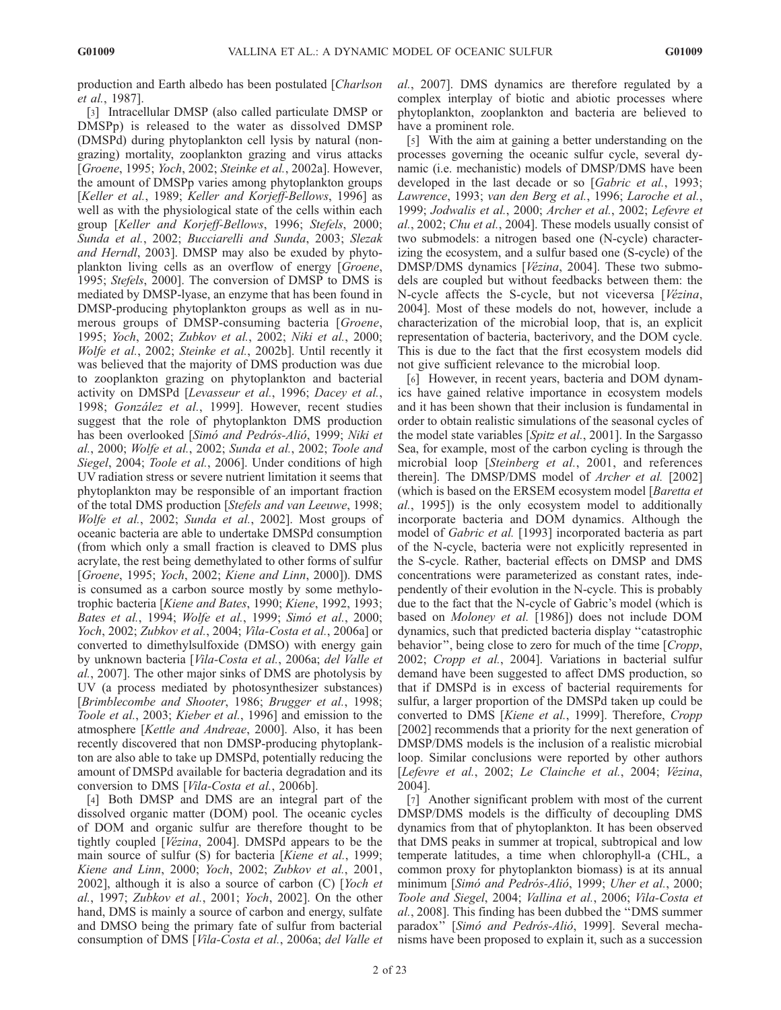production and Earth albedo has been postulated [Charlson et al., 1987].

[3] Intracellular DMSP (also called particulate DMSP or DMSPp) is released to the water as dissolved DMSP (DMSPd) during phytoplankton cell lysis by natural (nongrazing) mortality, zooplankton grazing and virus attacks [Groene, 1995; Yoch, 2002; Steinke et al., 2002a]. However, the amount of DMSPp varies among phytoplankton groups [Keller et al., 1989; Keller and Korjeff-Bellows, 1996] as well as with the physiological state of the cells within each group [Keller and Korjeff-Bellows, 1996; Stefels, 2000; Sunda et al., 2002; Bucciarelli and Sunda, 2003; Slezak and Herndl, 2003]. DMSP may also be exuded by phytoplankton living cells as an overflow of energy [Groene, 1995; Stefels, 2000]. The conversion of DMSP to DMS is mediated by DMSP-lyase, an enzyme that has been found in DMSP-producing phytoplankton groups as well as in numerous groups of DMSP-consuming bacteria [Groene, 1995; Yoch, 2002; Zubkov et al., 2002; Niki et al., 2000; Wolfe et al., 2002; Steinke et al., 2002b]. Until recently it was believed that the majority of DMS production was due to zooplankton grazing on phytoplankton and bacterial activity on DMSPd [Levasseur et al., 1996; Dacey et al., 1998; González et al., 1999]. However, recent studies suggest that the role of phytoplankton DMS production has been overlooked [Simó and Pedrós-Alió, 1999; Niki et al., 2000; Wolfe et al., 2002; Sunda et al., 2002; Toole and Siegel, 2004; Toole et al., 2006]. Under conditions of high UV radiation stress or severe nutrient limitation it seems that phytoplankton may be responsible of an important fraction of the total DMS production [Stefels and van Leeuwe, 1998; Wolfe et al., 2002; Sunda et al., 2002]. Most groups of oceanic bacteria are able to undertake DMSPd consumption (from which only a small fraction is cleaved to DMS plus acrylate, the rest being demethylated to other forms of sulfur [Groene, 1995; Yoch, 2002; Kiene and Linn, 2000]). DMS is consumed as a carbon source mostly by some methylotrophic bacteria [Kiene and Bates, 1990; Kiene, 1992, 1993; Bates et al., 1994; Wolfe et al., 1999; Simó et al., 2000; Yoch, 2002; Zubkov et al., 2004; Vila-Costa et al., 2006a] or converted to dimethylsulfoxide (DMSO) with energy gain by unknown bacteria [Vila-Costa et al., 2006a; del Valle et al., 2007]. The other major sinks of DMS are photolysis by UV (a process mediated by photosynthesizer substances) [Brimblecombe and Shooter, 1986; Brugger et al., 1998; Toole et al., 2003; Kieber et al., 1996] and emission to the atmosphere [Kettle and Andreae, 2000]. Also, it has been recently discovered that non DMSP-producing phytoplankton are also able to take up DMSPd, potentially reducing the amount of DMSPd available for bacteria degradation and its conversion to DMS [*Vila-Costa et al.*, 2006b].

[4] Both DMSP and DMS are an integral part of the dissolved organic matter (DOM) pool. The oceanic cycles of DOM and organic sulfur are therefore thought to be tightly coupled [Vézina, 2004]. DMSPd appears to be the main source of sulfur (S) for bacteria [Kiene et al., 1999; Kiene and Linn, 2000; Yoch, 2002; Zubkov et al., 2001, 2002], although it is also a source of carbon  $(C)$  [Yoch et al., 1997; Zubkov et al., 2001; Yoch, 2002]. On the other hand, DMS is mainly a source of carbon and energy, sulfate and DMSO being the primary fate of sulfur from bacterial consumption of DMS [Vila-Costa et al., 2006a; del Valle et al., 2007]. DMS dynamics are therefore regulated by a complex interplay of biotic and abiotic processes where phytoplankton, zooplankton and bacteria are believed to have a prominent role.

[5] With the aim at gaining a better understanding on the processes governing the oceanic sulfur cycle, several dynamic (i.e. mechanistic) models of DMSP/DMS have been developed in the last decade or so [Gabric et al., 1993; Lawrence, 1993; van den Berg et al., 1996; Laroche et al., 1999; Jodwalis et al., 2000; Archer et al., 2002; Lefevre et al., 2002; Chu et al., 2004]. These models usually consist of two submodels: a nitrogen based one (N-cycle) characterizing the ecosystem, and a sulfur based one (S-cycle) of the DMSP/DMS dynamics [Vézina, 2004]. These two submodels are coupled but without feedbacks between them: the N-cycle affects the S-cycle, but not viceversa [Vézina, 2004]. Most of these models do not, however, include a characterization of the microbial loop, that is, an explicit representation of bacteria, bacterivory, and the DOM cycle. This is due to the fact that the first ecosystem models did not give sufficient relevance to the microbial loop.

[6] However, in recent years, bacteria and DOM dynamics have gained relative importance in ecosystem models and it has been shown that their inclusion is fundamental in order to obtain realistic simulations of the seasonal cycles of the model state variables [Spitz et al., 2001]. In the Sargasso Sea, for example, most of the carbon cycling is through the microbial loop [Steinberg et al., 2001, and references therein]. The DMSP/DMS model of Archer et al. [2002] (which is based on the ERSEM ecosystem model [Baretta et al., 1995]) is the only ecosystem model to additionally incorporate bacteria and DOM dynamics. Although the model of Gabric et al. [1993] incorporated bacteria as part of the N-cycle, bacteria were not explicitly represented in the S-cycle. Rather, bacterial effects on DMSP and DMS concentrations were parameterized as constant rates, independently of their evolution in the N-cycle. This is probably due to the fact that the N-cycle of Gabric's model (which is based on Moloney et al. [1986]) does not include DOM dynamics, such that predicted bacteria display ''catastrophic behavior", being close to zero for much of the time [Cropp, 2002; Cropp et al., 2004]. Variations in bacterial sulfur demand have been suggested to affect DMS production, so that if DMSPd is in excess of bacterial requirements for sulfur, a larger proportion of the DMSPd taken up could be converted to DMS [Kiene et al., 1999]. Therefore, Cropp [2002] recommends that a priority for the next generation of DMSP/DMS models is the inclusion of a realistic microbial loop. Similar conclusions were reported by other authors [Lefevre et al., 2002; Le Clainche et al., 2004; Vézina, 2004].

[7] Another significant problem with most of the current DMSP/DMS models is the difficulty of decoupling DMS dynamics from that of phytoplankton. It has been observed that DMS peaks in summer at tropical, subtropical and low temperate latitudes, a time when chlorophyll-a (CHL, a common proxy for phytoplankton biomass) is at its annual minimum [Simó and Pedrós-Alió, 1999; Uher et al., 2000; Toole and Siegel, 2004; Vallina et al., 2006; Vila-Costa et al., 2008]. This finding has been dubbed the ''DMS summer paradox" [Simó and Pedrós-Alió, 1999]. Several mechanisms have been proposed to explain it, such as a succession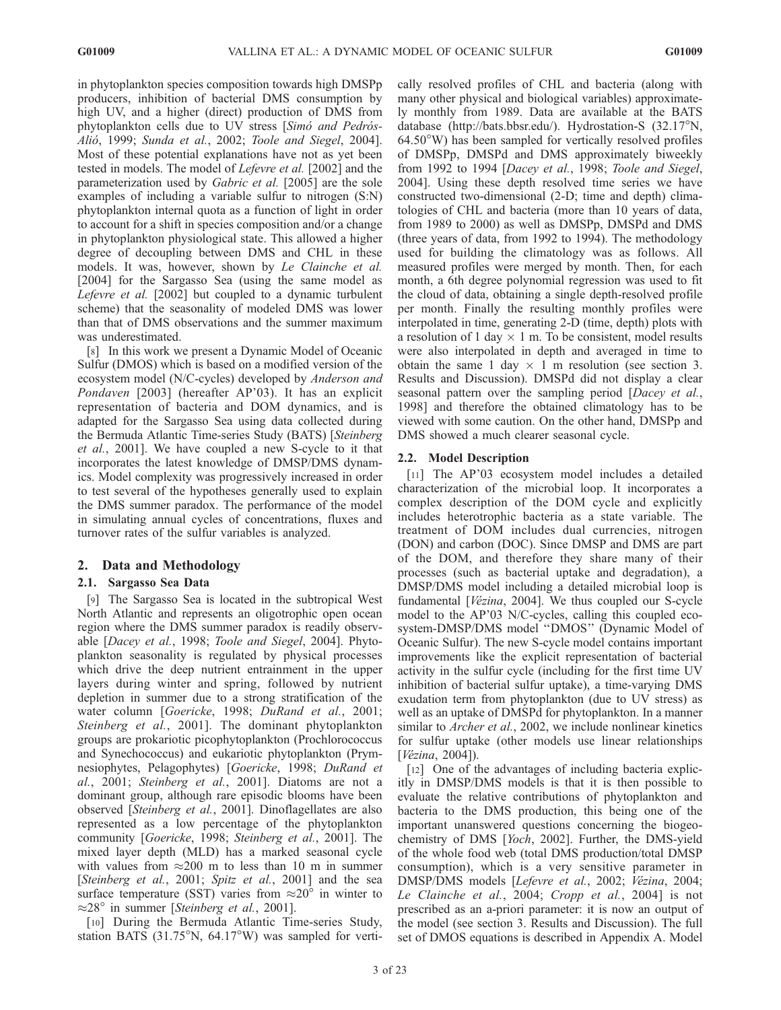in phytoplankton species composition towards high DMSPp producers, inhibition of bacterial DMS consumption by high UV, and a higher (direct) production of DMS from phytoplankton cells due to UV stress [Simó and Pedrós-Alio´, 1999; Sunda et al., 2002; Toole and Siegel, 2004]. Most of these potential explanations have not as yet been tested in models. The model of Lefevre et al. [2002] and the parameterization used by Gabric et al. [2005] are the sole examples of including a variable sulfur to nitrogen (S:N) phytoplankton internal quota as a function of light in order to account for a shift in species composition and/or a change in phytoplankton physiological state. This allowed a higher degree of decoupling between DMS and CHL in these models. It was, however, shown by Le Clainche et al. [2004] for the Sargasso Sea (using the same model as Lefevre et al. [2002] but coupled to a dynamic turbulent scheme) that the seasonality of modeled DMS was lower than that of DMS observations and the summer maximum was underestimated.

[8] In this work we present a Dynamic Model of Oceanic Sulfur (DMOS) which is based on a modified version of the ecosystem model (N/C-cycles) developed by Anderson and Pondaven [2003] (hereafter AP'03). It has an explicit representation of bacteria and DOM dynamics, and is adapted for the Sargasso Sea using data collected during the Bermuda Atlantic Time-series Study (BATS) [Steinberg et al., 2001]. We have coupled a new S-cycle to it that incorporates the latest knowledge of DMSP/DMS dynamics. Model complexity was progressively increased in order to test several of the hypotheses generally used to explain the DMS summer paradox. The performance of the model in simulating annual cycles of concentrations, fluxes and turnover rates of the sulfur variables is analyzed.

# 2. Data and Methodology

## 2.1. Sargasso Sea Data

[9] The Sargasso Sea is located in the subtropical West North Atlantic and represents an oligotrophic open ocean region where the DMS summer paradox is readily observable [Dacey et al., 1998; Toole and Siegel, 2004]. Phytoplankton seasonality is regulated by physical processes which drive the deep nutrient entrainment in the upper layers during winter and spring, followed by nutrient depletion in summer due to a strong stratification of the water column [Goericke, 1998; DuRand et al., 2001; Steinberg et  $a\overline{l}$ , 2001]. The dominant phytoplankton groups are prokariotic picophytoplankton (Prochlorococcus and Synechococcus) and eukariotic phytoplankton (Prymnesiophytes, Pelagophytes) [Goericke, 1998; DuRand et al., 2001; Steinberg et al., 2001]. Diatoms are not a dominant group, although rare episodic blooms have been observed [Steinberg et al., 2001]. Dinoflagellates are also represented as a low percentage of the phytoplankton community [Goericke, 1998; Steinberg et al., 2001]. The mixed layer depth (MLD) has a marked seasonal cycle with values from  $\approx 200$  m to less than 10 m in summer [Steinberg et al., 2001; Spitz et al., 2001] and the sea surface temperature (SST) varies from  $\approx 20^{\circ}$  in winter to  $\approx$ 28<sup>°</sup> in summer [*Steinberg et al.*, 2001].

[10] During the Bermuda Atlantic Time-series Study, station BATS  $(31.75^{\circ}N, 64.17^{\circ}W)$  was sampled for vertically resolved profiles of CHL and bacteria (along with many other physical and biological variables) approximately monthly from 1989. Data are available at the BATS database (http://bats.bbsr.edu/). Hydrostation-S (32.17°N, 64.50W) has been sampled for vertically resolved profiles of DMSPp, DMSPd and DMS approximately biweekly from 1992 to 1994 [Dacey et al., 1998; Toole and Siegel, 2004]. Using these depth resolved time series we have constructed two-dimensional (2-D; time and depth) climatologies of CHL and bacteria (more than 10 years of data, from 1989 to 2000) as well as DMSPp, DMSPd and DMS (three years of data, from 1992 to 1994). The methodology used for building the climatology was as follows. All measured profiles were merged by month. Then, for each month, a 6th degree polynomial regression was used to fit the cloud of data, obtaining a single depth-resolved profile per month. Finally the resulting monthly profiles were interpolated in time, generating 2-D (time, depth) plots with a resolution of 1 day  $\times$  1 m. To be consistent, model results were also interpolated in depth and averaged in time to obtain the same 1 day  $\times$  1 m resolution (see section 3. Results and Discussion). DMSPd did not display a clear seasonal pattern over the sampling period [Dacey et al., 1998] and therefore the obtained climatology has to be viewed with some caution. On the other hand, DMSPp and DMS showed a much clearer seasonal cycle.

## 2.2. Model Description

[11] The AP'03 ecosystem model includes a detailed characterization of the microbial loop. It incorporates a complex description of the DOM cycle and explicitly includes heterotrophic bacteria as a state variable. The treatment of DOM includes dual currencies, nitrogen (DON) and carbon (DOC). Since DMSP and DMS are part of the DOM, and therefore they share many of their processes (such as bacterial uptake and degradation), a DMSP/DMS model including a detailed microbial loop is fundamental  $[V\acute{e}zina, 2004]$ . We thus coupled our S-cycle model to the AP'03 N/C-cycles, calling this coupled ecosystem-DMSP/DMS model ''DMOS'' (Dynamic Model of Oceanic Sulfur). The new S-cycle model contains important improvements like the explicit representation of bacterial activity in the sulfur cycle (including for the first time UV inhibition of bacterial sulfur uptake), a time-varying DMS exudation term from phytoplankton (due to UV stress) as well as an uptake of DMSPd for phytoplankton. In a manner similar to *Archer et al.*, 2002, we include nonlinear kinetics for sulfur uptake (other models use linear relationships  $[V'ezina, 2004]$ ).

[12] One of the advantages of including bacteria explicitly in DMSP/DMS models is that it is then possible to evaluate the relative contributions of phytoplankton and bacteria to the DMS production, this being one of the important unanswered questions concerning the biogeochemistry of DMS [Yoch, 2002]. Further, the DMS-yield of the whole food web (total DMS production/total DMSP consumption), which is a very sensitive parameter in DMSP/DMS models [Lefevre et al., 2002; Vézina, 2004; Le Clainche et al., 2004; Cropp et al., 2004] is not prescribed as an a-priori parameter: it is now an output of the model (see section 3. Results and Discussion). The full set of DMOS equations is described in Appendix A. Model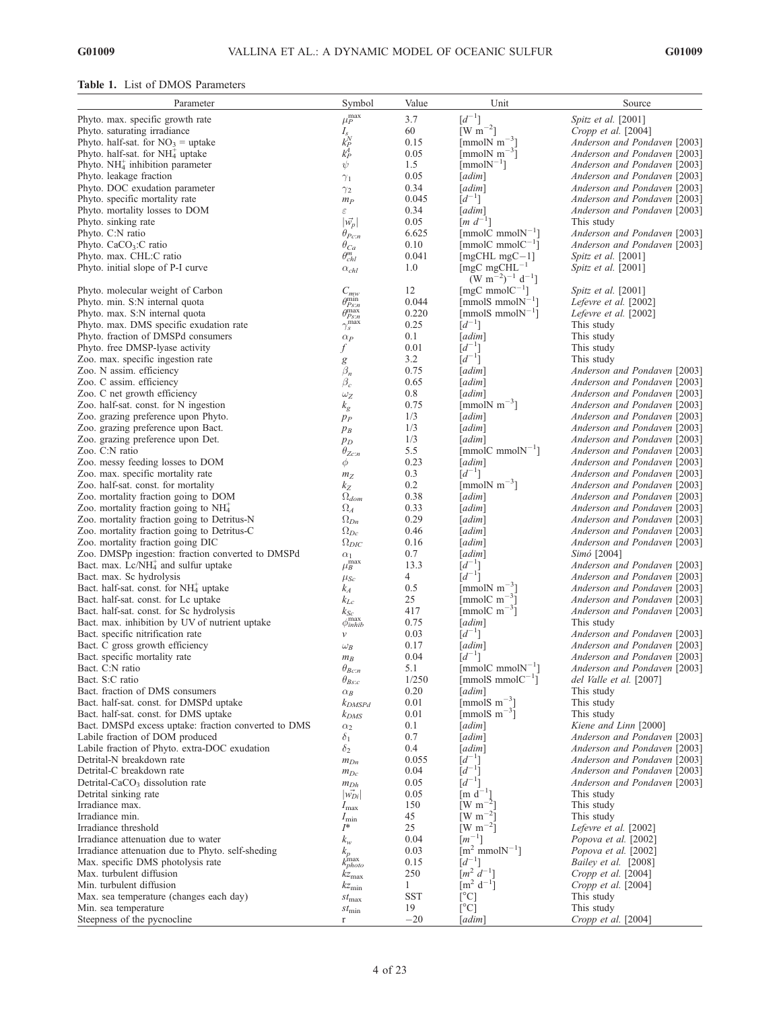# Table 1. List of DMOS Parameters

| Parameter                                                                              | Symbol                                       | Value         | Unit                                                    | Source                                                       |
|----------------------------------------------------------------------------------------|----------------------------------------------|---------------|---------------------------------------------------------|--------------------------------------------------------------|
| Phyto. max. specific growth rate                                                       | $\mu_P^{\rm max}$                            | 3.7           | $\left[ d^{-1} \right]$                                 | Spitz et al. [2001]                                          |
| Phyto. saturating irradiance                                                           |                                              | 60            | $\left[\text{W m}^{-2}\right]$                          | Cropp et al. $[2004]$                                        |
| Phyto. half-sat. for $NO_3$ = uptake                                                   | $I_{\substack{s\ N\\k_P^N}}$                 | 0.15          | [mmolN m <sup><math>-3</math></sup> ]                   | Anderson and Pondaven [2003]                                 |
| Phyto. half-sat. for $NH4+$ uptake                                                     |                                              | 0.05          | [mmolN m <sup><math>-3</math></sup> ]                   | Anderson and Pondaven [2003]                                 |
| Phyto. $NH4+$ inhibition parameter                                                     | $\psi$                                       | 1.5           | $\lceil$ mmol $N^{-1}$ ]                                | Anderson and Pondaven [2003]                                 |
| Phyto. leakage fraction                                                                | $\gamma_1$                                   | 0.05<br>0.34  | $\lceil adim \rceil$                                    | Anderson and Pondaven [2003]                                 |
| Phyto. DOC exudation parameter<br>Phyto. specific mortality rate                       | $\gamma_2$<br>$m_P$                          | 0.045         | [adim]<br>$\left[d^{-1}\right]$                         | Anderson and Pondaven [2003]<br>Anderson and Pondaven [2003] |
| Phyto. mortality losses to DOM                                                         | $\varepsilon$                                | 0.34          | [adim]                                                  | Anderson and Pondaven [2003]                                 |
| Phyto. sinking rate                                                                    | $ \vec{w_p} $                                | 0.05          | $\left\lceil m \ d^{-1} \right\rceil$                   | This study                                                   |
| Phyto. C:N ratio                                                                       | $\theta_{Pc:n}$                              | 6.625         | $[mmolC mmolN^{-1}]$                                    | Anderson and Pondaven [2003]                                 |
| Phyto. $CaCO3:C$ ratio                                                                 | $\theta_{Ca}$                                | 0.10          | ${\rm [mmolC\;mmolC^{-1}]}$                             | Anderson and Pondaven [2003]                                 |
| Phyto. max. CHL:C ratio                                                                | $\theta_{chl}^{m}$                           | 0.041         | $[mgCHL mgC-1]$                                         | Spitz et al. [2001]                                          |
| Phyto. initial slope of P-I curve                                                      | $\alpha_{chl}$                               | 1.0           | $[mgC \, mgCHL^{-1}]$<br>$(W m-2)-1 d-1]$               | Spitz et al. [2001]                                          |
| Phyto. molecular weight of Carbon                                                      |                                              | 12            | $\left[\text{mgC mmolC}^{-1}\right]$                    | <i>Spitz et al.</i> [2001]                                   |
| Phyto. min. S:N internal quota                                                         | $C_{m\nu}$<br>$\theta_{Ps:n}^{\min}$         | 0.044         | ${\rm [mmolS\;mmolN^{-1}]}$                             | Lefevre et al. $[2002]$                                      |
| Phyto. max. S:N internal quota                                                         |                                              | 0.220         | $[mmolS mmolN^{-1}]$                                    | Lefevre et al. $[2002]$                                      |
| Phyto. max. DMS specific exudation rate                                                | $\theta_{Ps:n}^{\max}$<br>$\gamma_s^{\max}$  | 0.25          | $\left[d^{-1}\right]$                                   | This study                                                   |
| Phyto. fraction of DMSPd consumers                                                     | $\alpha_P$                                   | 0.1           | $\lceil adim \rceil$                                    | This study                                                   |
| Phyto. free DMSP-lyase activity                                                        | f                                            | 0.01          | $\left[d^{-1}\right]$                                   | This study                                                   |
| Zoo. max. specific ingestion rate                                                      | g                                            | 3.2           | $\left[d^{-1}\right]$                                   | This study                                                   |
| Zoo. N assim. efficiency<br>Zoo. C assim. efficiency                                   | $\bar{\beta}_n$<br>$\beta_c$                 | 0.75<br>0.65  | [adim]<br>$\lceil adim \rceil$                          | Anderson and Pondaven [2003]<br>Anderson and Pondaven [2003] |
| Zoo. C net growth efficiency                                                           | $\omega_Z$                                   | 0.8           | $\lceil adim \rceil$                                    | Anderson and Pondaven [2003]                                 |
| Zoo. half-sat. const. for N ingestion                                                  | $k_{\rm g}$                                  | 0.75          | [mmolN m <sup><math>-3</math></sup> ]                   | Anderson and Pondaven [2003]                                 |
| Zoo. grazing preference upon Phyto.                                                    | $p_P$                                        | 1/3           | $\lceil adim \rceil$                                    | Anderson and Pondaven [2003]                                 |
| Zoo. grazing preference upon Bact.                                                     | $p_B$                                        | 1/3           | $\lceil adim \rceil$                                    | Anderson and Pondaven [2003]                                 |
| Zoo. grazing preference upon Det.                                                      | $p_D$                                        | 1/3           | $\lceil adim \rceil$                                    | Anderson and Pondaven [2003]                                 |
| Zoo. C:N ratio                                                                         | $\theta_{Zc:n}$                              | 5.5           | $[mmolC mmolN^{-1}]$                                    | Anderson and Pondaven [2003]                                 |
| Zoo. messy feeding losses to DOM                                                       | φ                                            | 0.23          | [adim]<br>$\left[d^{-1}\right]$                         | Anderson and Pondaven [2003]                                 |
| Zoo. max. specific mortality rate<br>Zoo. half-sat. const. for mortality               | $m_Z$<br>$k_Z$                               | 0.3<br>0.2    | [mmolN m <sup><math>-3</math></sup> ]                   | Anderson and Pondaven [2003]<br>Anderson and Pondaven [2003] |
| Zoo. mortality fraction going to DOM                                                   | $\Omega_{dom}$                               | 0.38          | $\lceil adim \rceil$                                    | Anderson and Pondaven [2003]                                 |
| Zoo. mortality fraction going to $NH4+$                                                | $\Omega_A$                                   | 0.33          | $\lceil adim \rceil$                                    | Anderson and Pondaven [2003]                                 |
| Zoo. mortality fraction going to Detritus-N                                            | $\Omega_{Dn}$                                | 0.29          | $\lceil adim \rceil$                                    | Anderson and Pondaven [2003]                                 |
| Zoo. mortality fraction going to Detritus-C                                            | $\Omega_{Dc}$                                | 0.46          | $\lceil adim \rceil$                                    | Anderson and Pondaven [2003]                                 |
| Zoo. mortality fraction going DIC                                                      | $\Omega_{DIC}$                               | 0.16          | $\lceil adim \rceil$                                    | Anderson and Pondaven [2003]                                 |
| Zoo. DMSPp ingestion: fraction converted to DMSPd                                      | $\overset{\textstyle\alpha_1}{\mu_B^{\max}}$ | 0.7           | $\lceil adim \rceil$                                    | <i>Simó</i> [2004]                                           |
| Bact. max. $Lc/NH_4^+$ and sulfur uptake<br>Bact. max. Sc hydrolysis                   |                                              | 13.3<br>4     | $\lbrack d^{-1} \rbrack$<br>$\left[d^{-1}\right]$       | Anderson and Pondaven [2003]<br>Anderson and Pondaven [2003] |
| Bact. half-sat. const. for NH <sub>4</sub> uptake                                      | $\mu_{Sc}$<br>$k_A$                          | 0.5           | [mmolN m <sup><math>-3</math></sup>                     | Anderson and Pondaven [2003]                                 |
| Bact. half-sat. const. for Lc uptake                                                   | $k_{Lc}$                                     | 25            | [mmolC m]                                               | Anderson and Pondaven [2003]                                 |
| Bact. half-sat. const. for Sc hydrolysis                                               | $k_{Sc}$                                     | 417           | $\text{[mmolC m}^{-3}]$                                 | Anderson and Pondaven [2003]                                 |
| Bact. max. inhibition by UV of nutrient uptake                                         | $\phi_{inhib}^{max}$                         | 0.75          | [adim]                                                  | This study                                                   |
| Bact. specific nitrification rate                                                      | v                                            | 0.03          | $\lceil d^{-1} \rceil$                                  | Anderson and Pondaven [2003]                                 |
| Bact. C gross growth efficiency                                                        | $\omega_B$                                   | 0.17          | [adim]                                                  | Anderson and Pondaven [2003]                                 |
| Bact. specific mortality rate                                                          | $m_{B}$                                      | 0.04          | $\lbrack d^{-1} \rbrack$<br>$[mmolC~mmolN^{-1}]$        | Anderson and Pondaven [2003]<br>Anderson and Pondaven [2003] |
| Bact. C:N ratio<br>Bact. S:C ratio                                                     | $\theta_{Bc:n}$<br>$\theta_{Bs:c}$           | 5.1<br>1/250  | [mmolS mmolC $^{-1}$ ]                                  | del Valle et al. [2007]                                      |
| Bact. fraction of DMS consumers                                                        | $\alpha_B$                                   | 0.20          | [ $adim$ ]                                              | This study                                                   |
| Bact. half-sat. const. for DMSPd uptake                                                | $k_{DMSPd}$                                  | 0.01          | [mmolS m <sup><math>-3</math></sup> ]                   | This study                                                   |
| Bact. half-sat. const. for DMS uptake                                                  | $k_{DMS}$                                    | 0.01          | [mmolS m <sup><math>-3</math></sup> ]                   | This study                                                   |
| Bact. DMSPd excess uptake: fraction converted to DMS                                   | $\alpha_2$                                   | 0.1           | [adim]                                                  | Kiene and Linn [2000]                                        |
| Labile fraction of DOM produced                                                        | $\delta_1$                                   | 0.7           | [adim]                                                  | Anderson and Pondaven [2003]                                 |
| Labile fraction of Phyto. extra-DOC exudation                                          | $\delta_2$                                   | 0.4           | [adim]<br>$\lceil d^{-1} \rceil$                        | Anderson and Pondaven [2003]                                 |
| Detrital-N breakdown rate<br>Detrital-C breakdown rate                                 | $m_{Dn}$                                     | 0.055<br>0.04 | $\lceil d^{-1} \rceil$                                  | Anderson and Pondaven [2003]<br>Anderson and Pondaven [2003] |
| Detrital-CaCO <sub>3</sub> dissolution rate                                            | $m_{Dc}$<br>$m_{Dh}$                         | 0.05          | $\lceil d^{-1} \rceil$                                  | Anderson and Pondaven [2003]                                 |
| Detrital sinking rate                                                                  | $ \vec{w}_{Di} $                             | 0.05          | $\mathop{\rm Im\,d}\nolimits^{-1}$                      | This study                                                   |
| Irradiance max.                                                                        | $I_{\text{max}}$                             | 150           | $\sqrt{W}$ m <sup><math>-</math></sup>                  | This study                                                   |
| Irradiance min.                                                                        | $I_{\min}$                                   | 45            | [W m <sup>-2</sup> ]                                    | This study                                                   |
| Irradiance threshold                                                                   | I*                                           | 25            | $\text{[W m}^{-2}$                                      | Lefevre et al. $[2002]$                                      |
| Irradiance attenuation due to water                                                    | $k_{w}$                                      | 0.04          | $\bar{m}^{-1}$ ]                                        | Popova et al. [2002]                                         |
| Irradiance attenuation due to Phyto. self-sheding<br>Max. specific DMS photolysis rate | $k_p \over k_{photo}$                        | 0.03<br>0.15  | $\mathrm{[m^2\ mmolN^{-1}]}$<br>$\left[ d^{-1} \right]$ | Popova et al. [2002]                                         |
| Max. turbulent diffusion                                                               | $kz_{\rm max}$                               | 250           | $\left[ m^2 d^{-1} \right]$                             | Bailey et al. [2008]<br>Cropp et al. $[2004]$                |
| Min. turbulent diffusion                                                               | $kz_{\rm min}$                               | 1             | $\left[\text{m}^2 \text{ d}^{-1}\right]$                | Cropp et al. [2004]                                          |
| Max. sea temperature (changes each day)                                                | $st_{\text{max}}$                            | SST           | [°C]                                                    | This study                                                   |
| Min. sea temperature                                                                   | $st_{\min}$                                  | 19            | [°C]                                                    | This study                                                   |
| Steepness of the pycnocline                                                            | r                                            | $-20$         | [adim]                                                  | Cropp et al. [2004]                                          |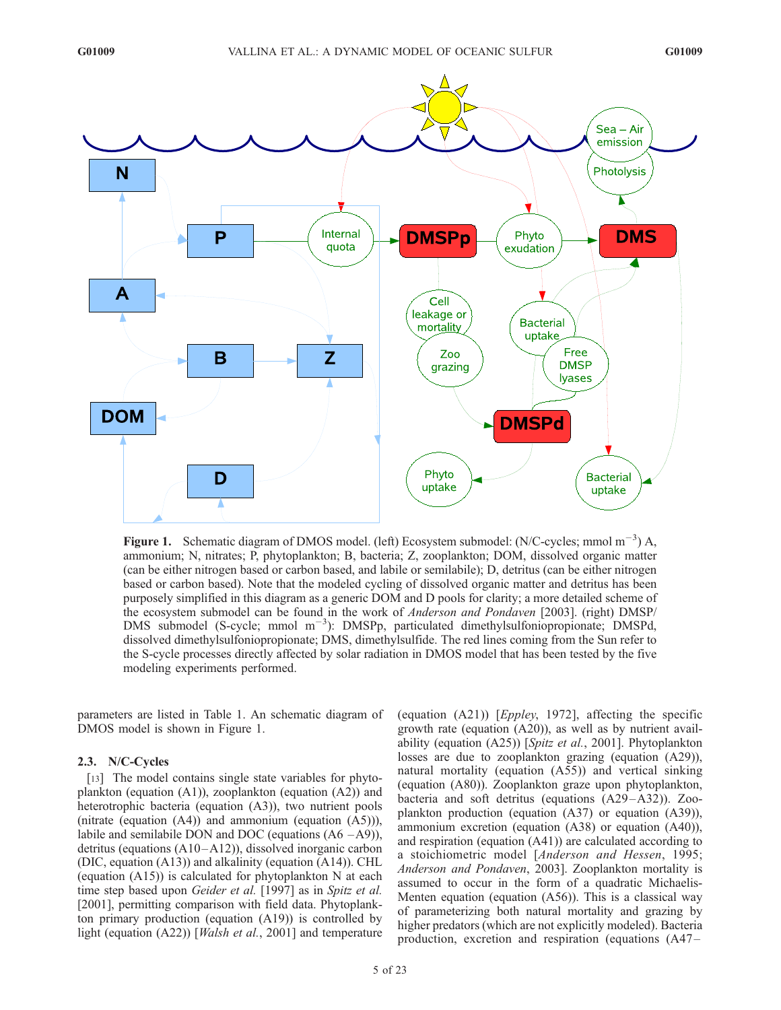

Figure 1. Schematic diagram of DMOS model. (left) Ecosystem submodel: (N/C-cycles; mmol m<sup>-3</sup>) A, ammonium; N, nitrates; P, phytoplankton; B, bacteria; Z, zooplankton; DOM, dissolved organic matter (can be either nitrogen based or carbon based, and labile or semilabile); D, detritus (can be either nitrogen based or carbon based). Note that the modeled cycling of dissolved organic matter and detritus has been purposely simplified in this diagram as a generic DOM and D pools for clarity; a more detailed scheme of the ecosystem submodel can be found in the work of *Anderson and Pondaven* [2003]. (right) DMSP/ DMS submodel (S-cycle; mmol m<sup>-3</sup>): DMSPp, particulated dimethylsulfoniopropionate; DMSPd, dissolved dimethylsulfoniopropionate; DMS, dimethylsulfide. The red lines coming from the Sun refer to the S-cycle processes directly affected by solar radiation in DMOS model that has been tested by the five modeling experiments performed.

parameters are listed in Table 1. An schematic diagram of DMOS model is shown in Figure 1.

# 2.3. N/C-Cycles

[13] The model contains single state variables for phytoplankton (equation (A1)), zooplankton (equation (A2)) and heterotrophic bacteria (equation (A3)), two nutrient pools (nitrate (equation (A4)) and ammonium (equation (A5))), labile and semilabile DON and DOC (equations  $(A6 - A9)$ ), detritus (equations (A10 –A12)), dissolved inorganic carbon (DIC, equation (A13)) and alkalinity (equation (A14)). CHL (equation (A15)) is calculated for phytoplankton N at each time step based upon Geider et al. [1997] as in Spitz et al. [2001], permitting comparison with field data. Phytoplankton primary production (equation (A19)) is controlled by light (equation (A22)) [*Walsh et al.*, 2001] and temperature

(equation (A21)) [Eppley, 1972], affecting the specific growth rate (equation (A20)), as well as by nutrient availability (equation (A25)) [Spitz et al., 2001]. Phytoplankton losses are due to zooplankton grazing (equation (A29)), natural mortality (equation (A55)) and vertical sinking (equation (A80)). Zooplankton graze upon phytoplankton, bacteria and soft detritus (equations (A29 –A32)). Zooplankton production (equation (A37) or equation (A39)), ammonium excretion (equation (A38) or equation (A40)), and respiration (equation (A41)) are calculated according to a stoichiometric model [Anderson and Hessen, 1995; Anderson and Pondaven, 2003]. Zooplankton mortality is assumed to occur in the form of a quadratic Michaelis-Menten equation (equation (A56)). This is a classical way of parameterizing both natural mortality and grazing by higher predators (which are not explicitly modeled). Bacteria production, excretion and respiration (equations (A47 –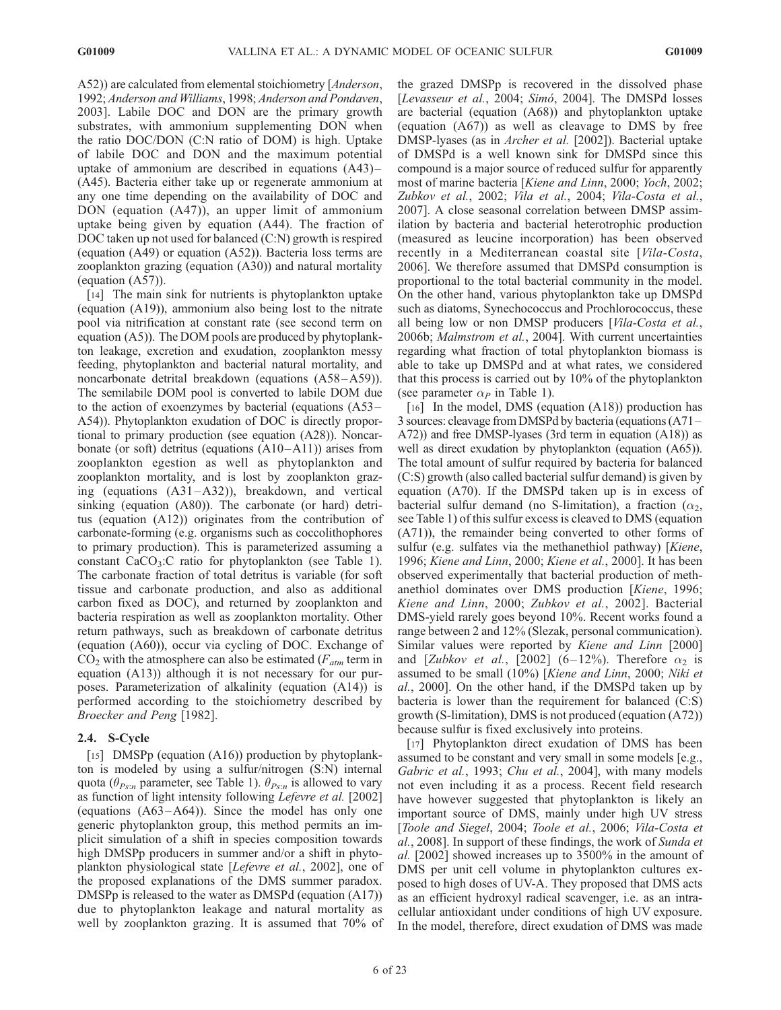A52)) are calculated from elemental stoichiometry [Anderson, 1992; Anderson and Williams, 1998; Anderson and Pondaven, 2003]. Labile DOC and DON are the primary growth substrates, with ammonium supplementing DON when the ratio DOC/DON (C:N ratio of DOM) is high. Uptake of labile DOC and DON and the maximum potential uptake of ammonium are described in equations (A43) – (A45). Bacteria either take up or regenerate ammonium at any one time depending on the availability of DOC and DON (equation (A47)), an upper limit of ammonium uptake being given by equation (A44). The fraction of DOC taken up not used for balanced (C:N) growth is respired (equation (A49) or equation (A52)). Bacteria loss terms are zooplankton grazing (equation (A30)) and natural mortality (equation (A57)).

[14] The main sink for nutrients is phytoplankton uptake (equation (A19)), ammonium also being lost to the nitrate pool via nitrification at constant rate (see second term on equation (A5)). The DOM pools are produced by phytoplankton leakage, excretion and exudation, zooplankton messy feeding, phytoplankton and bacterial natural mortality, and noncarbonate detrital breakdown (equations (A58-A59)). The semilabile DOM pool is converted to labile DOM due to the action of exoenzymes by bacterial (equations (A53– A54)). Phytoplankton exudation of DOC is directly proportional to primary production (see equation (A28)). Noncarbonate (or soft) detritus (equations (A10–A11)) arises from zooplankton egestion as well as phytoplankton and zooplankton mortality, and is lost by zooplankton grazing (equations (A31 –A32)), breakdown, and vertical sinking (equation (A80)). The carbonate (or hard) detritus (equation (A12)) originates from the contribution of carbonate-forming (e.g. organisms such as coccolithophores to primary production). This is parameterized assuming a constant  $CaCO<sub>3</sub>:C$  ratio for phytoplankton (see Table 1). The carbonate fraction of total detritus is variable (for soft tissue and carbonate production, and also as additional carbon fixed as DOC), and returned by zooplankton and bacteria respiration as well as zooplankton mortality. Other return pathways, such as breakdown of carbonate detritus (equation (A60)), occur via cycling of DOC. Exchange of  $CO<sub>2</sub>$  with the atmosphere can also be estimated ( $F<sub>atm</sub>$  term in equation (A13)) although it is not necessary for our purposes. Parameterization of alkalinity (equation (A14)) is performed according to the stoichiometry described by Broecker and Peng [1982].

## 2.4. S-Cycle

[15] DMSPp (equation (A16)) production by phytoplankton is modeled by using a sulfur/nitrogen (S:N) internal quota ( $\theta_{Ps:n}$  parameter, see Table 1).  $\theta_{Ps:n}$  is allowed to vary as function of light intensity following Lefevre et al. [2002] (equations  $(A63 - A64)$ ). Since the model has only one generic phytoplankton group, this method permits an implicit simulation of a shift in species composition towards high DMSPp producers in summer and/or a shift in phytoplankton physiological state [Lefevre et al., 2002], one of the proposed explanations of the DMS summer paradox. DMSPp is released to the water as DMSPd (equation (A17)) due to phytoplankton leakage and natural mortality as well by zooplankton grazing. It is assumed that 70% of the grazed DMSPp is recovered in the dissolved phase [Levasseur et al., 2004; Simó, 2004]. The DMSPd losses are bacterial (equation (A68)) and phytoplankton uptake (equation (A67)) as well as cleavage to DMS by free DMSP-lyases (as in Archer et al. [2002]). Bacterial uptake of DMSPd is a well known sink for DMSPd since this compound is a major source of reduced sulfur for apparently most of marine bacteria [Kiene and Linn, 2000; Yoch, 2002; Zubkov et al., 2002; Vila et al., 2004; Vila-Costa et al., 2007]. A close seasonal correlation between DMSP assimilation by bacteria and bacterial heterotrophic production (measured as leucine incorporation) has been observed recently in a Mediterranean coastal site [Vila-Costa, 2006]. We therefore assumed that DMSPd consumption is proportional to the total bacterial community in the model. On the other hand, various phytoplankton take up DMSPd such as diatoms, Synechococcus and Prochlorococcus, these all being low or non DMSP producers [Vila-Costa et al., 2006b; Malmstrom et al., 2004]. With current uncertainties regarding what fraction of total phytoplankton biomass is able to take up DMSPd and at what rates, we considered that this process is carried out by 10% of the phytoplankton (see parameter  $\alpha_P$  in Table 1).

[16] In the model, DMS (equation  $(A18)$ ) production has 3 sources: cleavage from DMSPd by bacteria (equations (A71– A72)) and free DMSP-lyases (3rd term in equation (A18)) as well as direct exudation by phytoplankton (equation (A65)). The total amount of sulfur required by bacteria for balanced (C:S) growth (also called bacterial sulfur demand) is given by equation (A70). If the DMSPd taken up is in excess of bacterial sulfur demand (no S-limitation), a fraction ( $\alpha_2$ , see Table 1) of this sulfur excess is cleaved to DMS (equation (A71)), the remainder being converted to other forms of sulfur (e.g. sulfates via the methanethiol pathway) [Kiene, 1996; Kiene and Linn, 2000; Kiene et al., 2000]. It has been observed experimentally that bacterial production of methanethiol dominates over DMS production [Kiene, 1996; Kiene and Linn, 2000; Zubkov et al., 2002]. Bacterial DMS-yield rarely goes beyond 10%. Recent works found a range between 2 and 12% (Slezak, personal communication). Similar values were reported by *Kiene and Linn* [2000] and [Zubkov et al., [2002] (6-12%). Therefore  $\alpha_2$  is assumed to be small (10%) [Kiene and Linn, 2000; Niki et al., 2000]. On the other hand, if the DMSPd taken up by bacteria is lower than the requirement for balanced (C:S) growth (S-limitation), DMS is not produced (equation (A72)) because sulfur is fixed exclusively into proteins.

[17] Phytoplankton direct exudation of DMS has been assumed to be constant and very small in some models [e.g., Gabric et al., 1993; Chu et al., 2004], with many models not even including it as a process. Recent field research have however suggested that phytoplankton is likely an important source of DMS, mainly under high UV stress [Toole and Siegel, 2004; Toole et al., 2006; Vila-Costa et al., 2008]. In support of these findings, the work of Sunda et al. [2002] showed increases up to 3500% in the amount of DMS per unit cell volume in phytoplankton cultures exposed to high doses of UV-A. They proposed that DMS acts as an efficient hydroxyl radical scavenger, i.e. as an intracellular antioxidant under conditions of high UV exposure. In the model, therefore, direct exudation of DMS was made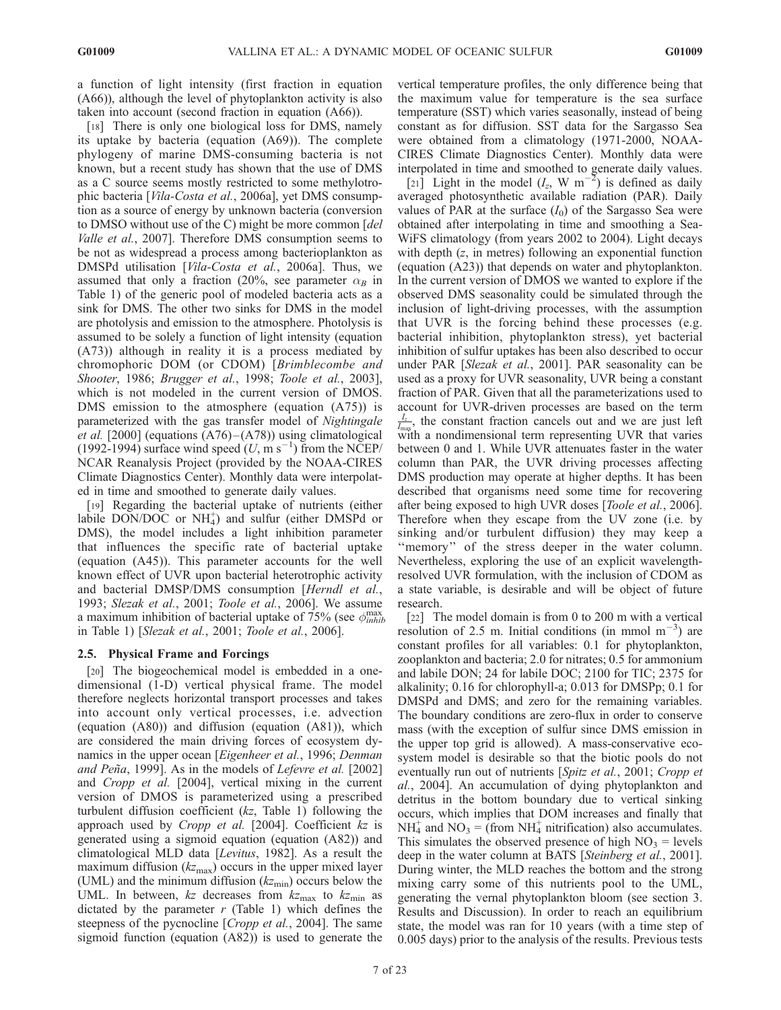a function of light intensity (first fraction in equation (A66)), although the level of phytoplankton activity is also taken into account (second fraction in equation (A66)).

[18] There is only one biological loss for DMS, namely its uptake by bacteria (equation (A69)). The complete phylogeny of marine DMS-consuming bacteria is not known, but a recent study has shown that the use of DMS as a C source seems mostly restricted to some methylotrophic bacteria [Vila-Costa et al., 2006a], yet DMS consumption as a source of energy by unknown bacteria (conversion to DMSO without use of the C) might be more common [del Valle et al., 2007]. Therefore DMS consumption seems to be not as widespread a process among bacterioplankton as DMSPd utilisation [Vila-Costa et al., 2006a]. Thus, we assumed that only a fraction (20%, see parameter  $\alpha_B$  in Table 1) of the generic pool of modeled bacteria acts as a sink for DMS. The other two sinks for DMS in the model are photolysis and emission to the atmosphere. Photolysis is assumed to be solely a function of light intensity (equation (A73)) although in reality it is a process mediated by chromophoric DOM (or CDOM) [Brimblecombe and Shooter, 1986; Brugger et al., 1998; Toole et al., 2003], which is not modeled in the current version of DMOS. DMS emission to the atmosphere (equation (A75)) is parameterized with the gas transfer model of Nightingale et al. [2000] (equations  $(A76)$ – $(A78)$ ) using climatological (1992-1994) surface wind speed  $(U, m s^{-1})$  from the NCEP/ NCAR Reanalysis Project (provided by the NOAA-CIRES Climate Diagnostics Center). Monthly data were interpolated in time and smoothed to generate daily values.

[19] Regarding the bacterial uptake of nutrients (either labile  $\overrightarrow{DOM/DOC}$  or  $\overrightarrow{NH_4}$ ) and sulfur (either DMSPd or DMS), the model includes a light inhibition parameter that influences the specific rate of bacterial uptake (equation (A45)). This parameter accounts for the well known effect of UVR upon bacterial heterotrophic activity and bacterial DMSP/DMS consumption [Herndl et al., 1993; Slezak et al., 2001; Toole et al., 2006]. We assume a maximum inhibition of bacterial uptake of 75% (see  $\phi_{inhib}^{\text{max}}$ in Table 1) [Slezak et al., 2001; Toole et al., 2006].

# 2.5. Physical Frame and Forcings

[20] The biogeochemical model is embedded in a onedimensional (1-D) vertical physical frame. The model therefore neglects horizontal transport processes and takes into account only vertical processes, i.e. advection (equation (A80)) and diffusion (equation (A81)), which are considered the main driving forces of ecosystem dynamics in the upper ocean [Eigenheer et al., 1996; Denman and Peña, 1999]. As in the models of Lefevre et al. [2002] and Cropp et al. [2004], vertical mixing in the current version of DMOS is parameterized using a prescribed turbulent diffusion coefficient  $(kz,$  Table 1) following the approach used by *Cropp et al.* [2004]. Coefficient kz is generated using a sigmoid equation (equation (A82)) and climatological MLD data [Levitus, 1982]. As a result the maximum diffusion  $(kz_{\text{max}})$  occurs in the upper mixed layer (UML) and the minimum diffusion  $(kz<sub>min</sub>)$  occurs below the UML. In between,  $kz$  decreases from  $kz_{\text{max}}$  to  $kz_{\text{min}}$  as dictated by the parameter  $r$  (Table 1) which defines the steepness of the pycnocline [Cropp et al., 2004]. The same sigmoid function (equation (A82)) is used to generate the vertical temperature profiles, the only difference being that the maximum value for temperature is the sea surface temperature (SST) which varies seasonally, instead of being constant as for diffusion. SST data for the Sargasso Sea were obtained from a climatology (1971-2000, NOAA-CIRES Climate Diagnostics Center). Monthly data were interpolated in time and smoothed to generate daily values.

[21] Light in the model  $(I_z, W \text{ m}^{-2})$  is defined as daily averaged photosynthetic available radiation (PAR). Daily values of PAR at the surface  $(I_0)$  of the Sargasso Sea were obtained after interpolating in time and smoothing a Sea-WiFS climatology (from years 2002 to 2004). Light decays with depth (z, in metres) following an exponential function (equation (A23)) that depends on water and phytoplankton. In the current version of DMOS we wanted to explore if the observed DMS seasonality could be simulated through the inclusion of light-driving processes, with the assumption that UVR is the forcing behind these processes (e.g. bacterial inhibition, phytoplankton stress), yet bacterial inhibition of sulfur uptakes has been also described to occur under PAR [Slezak et al., 2001]. PAR seasonality can be used as a proxy for UVR seasonality, UVR being a constant fraction of PAR. Given that all the parameterizations used to account for UVR-driven processes are based on the term  $\frac{I_z}{I_{\text{max}}}$ , the constant fraction cancels out and we are just left with a nondimensional term representing UVR that varies between 0 and 1. While UVR attenuates faster in the water column than PAR, the UVR driving processes affecting DMS production may operate at higher depths. It has been described that organisms need some time for recovering after being exposed to high UVR doses [Toole et al., 2006]. Therefore when they escape from the UV zone (i.e. by sinking and/or turbulent diffusion) they may keep a "memory" of the stress deeper in the water column. Nevertheless, exploring the use of an explicit wavelengthresolved UVR formulation, with the inclusion of CDOM as a state variable, is desirable and will be object of future research.

[22] The model domain is from 0 to 200 m with a vertical resolution of 2.5 m. Initial conditions (in mmol  $m^{-3}$ ) are constant profiles for all variables: 0.1 for phytoplankton, zooplankton and bacteria; 2.0 for nitrates; 0.5 for ammonium and labile DON; 24 for labile DOC; 2100 for TIC; 2375 for alkalinity; 0.16 for chlorophyll-a; 0.013 for DMSPp; 0.1 for DMSPd and DMS; and zero for the remaining variables. The boundary conditions are zero-flux in order to conserve mass (with the exception of sulfur since DMS emission in the upper top grid is allowed). A mass-conservative ecosystem model is desirable so that the biotic pools do not eventually run out of nutrients [Spitz et al., 2001; Cropp et al., 2004]. An accumulation of dying phytoplankton and detritus in the bottom boundary due to vertical sinking occurs, which implies that DOM increases and finally that  $NH_4^+$  and  $NO_3 = (from NH_4^+$  nitrification) also accumulates. This simulates the observed presence of high  $NO_3$  = levels deep in the water column at BATS [Steinberg et al., 2001]. During winter, the MLD reaches the bottom and the strong mixing carry some of this nutrients pool to the UML, generating the vernal phytoplankton bloom (see section 3. Results and Discussion). In order to reach an equilibrium state, the model was ran for 10 years (with a time step of 0.005 days) prior to the analysis of the results. Previous tests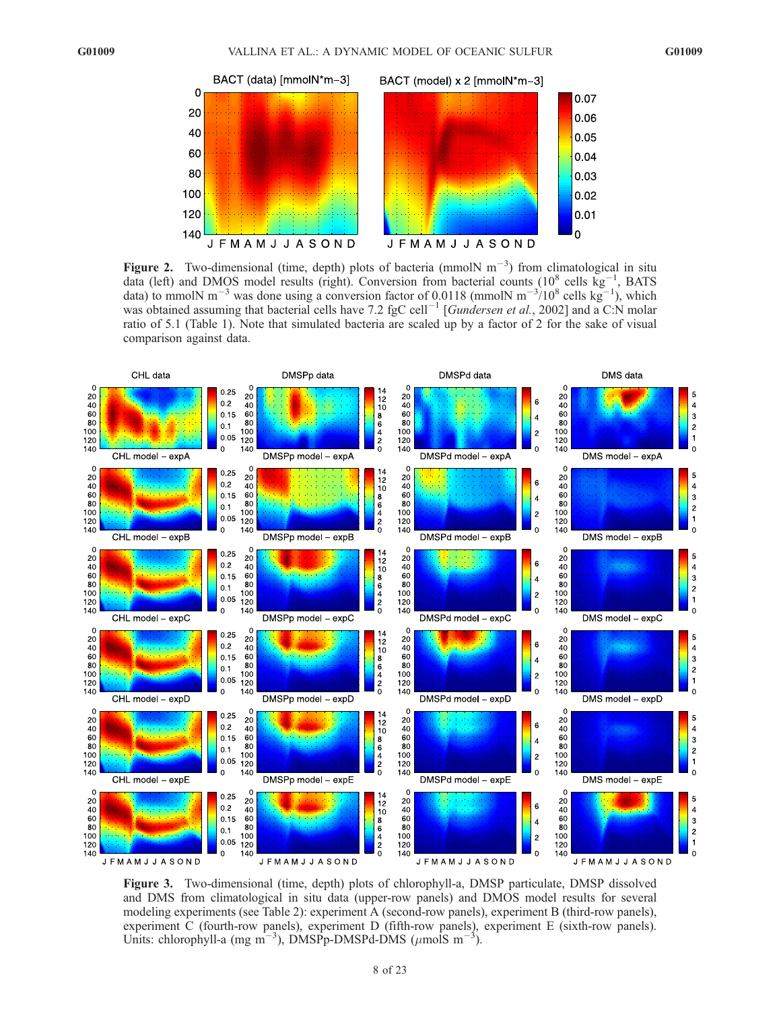

Figure 2. Two-dimensional (time, depth) plots of bacteria (mmolN  $m^{-3}$ ) from climatological in situ data (left) and DMOS model results (right). Conversion from bacterial counts  $(10^8 \text{ cells kg}^{-1}, \text{ BATS})$ data) to mmolN m<sup>-3</sup> was done using a conversion factor of 0.0118 (mmolN m<sup>-3</sup>/10<sup>8</sup> cells kg<sup>-1</sup>), which was obtained assuming that bacterial cells have 7.2 fgC cell<sup>-1</sup> [Gundersen et al., 2002] and a C:N molar ratio of 5.1 (Table 1). Note that simulated bacteria are scaled up by a factor of 2 for the sake of visual comparison against data.



Figure 3. Two-dimensional (time, depth) plots of chlorophyll-a, DMSP particulate, DMSP dissolved and DMS from climatological in situ data (upper-row panels) and DMOS model results for several modeling experiments (see Table 2): experiment A (second-row panels), experiment B (third-row panels), experiment C (fourth-row panels), experiment D (fifth-row panels), experiment E (sixth-row panels). Units: chlorophyll-a (mg m<sup>-3</sup>), DMSPp-DMSPd-DMS ( $\mu$ molS m<sup>-3</sup>).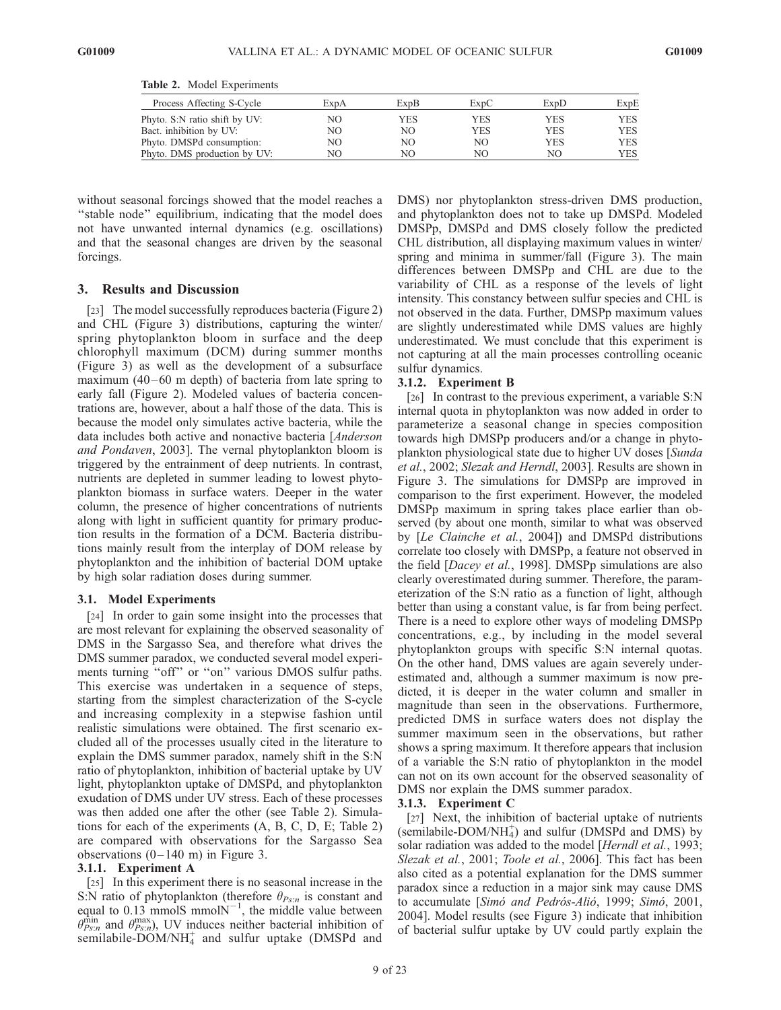| Process Affecting S-Cycle     | ExpA | ExpB | ExpC | ExpD       | ExpE       |
|-------------------------------|------|------|------|------------|------------|
| Phyto. S:N ratio shift by UV: | NΟ   | YES  | YES  | YES        | YES        |
| Bact. inhibition by UV:       | NΟ   | NΟ   | YES  | <b>YES</b> | <b>YES</b> |
| Phyto. DMSPd consumption:     | NΟ   | NΟ   | NO   | <b>YES</b> | <b>YES</b> |
| Phyto. DMS production by UV:  | NΟ   | NΟ   | NO   | NΟ         | YES        |

Table 2. Model Experiments

without seasonal forcings showed that the model reaches a "stable node" equilibrium, indicating that the model does not have unwanted internal dynamics (e.g. oscillations) and that the seasonal changes are driven by the seasonal forcings.

#### 3. Results and Discussion

[23] The model successfully reproduces bacteria (Figure 2) and CHL (Figure 3) distributions, capturing the winter/ spring phytoplankton bloom in surface and the deep chlorophyll maximum (DCM) during summer months (Figure 3) as well as the development of a subsurface maximum  $(40 - 60$  m depth) of bacteria from late spring to early fall (Figure 2). Modeled values of bacteria concentrations are, however, about a half those of the data. This is because the model only simulates active bacteria, while the data includes both active and nonactive bacteria [Anderson and Pondaven, 2003]. The vernal phytoplankton bloom is triggered by the entrainment of deep nutrients. In contrast, nutrients are depleted in summer leading to lowest phytoplankton biomass in surface waters. Deeper in the water column, the presence of higher concentrations of nutrients along with light in sufficient quantity for primary production results in the formation of a DCM. Bacteria distributions mainly result from the interplay of DOM release by phytoplankton and the inhibition of bacterial DOM uptake by high solar radiation doses during summer.

## 3.1. Model Experiments

[24] In order to gain some insight into the processes that are most relevant for explaining the observed seasonality of DMS in the Sargasso Sea, and therefore what drives the DMS summer paradox, we conducted several model experiments turning ''off'' or ''on'' various DMOS sulfur paths. This exercise was undertaken in a sequence of steps, starting from the simplest characterization of the S-cycle and increasing complexity in a stepwise fashion until realistic simulations were obtained. The first scenario excluded all of the processes usually cited in the literature to explain the DMS summer paradox, namely shift in the S:N ratio of phytoplankton, inhibition of bacterial uptake by UV light, phytoplankton uptake of DMSPd, and phytoplankton exudation of DMS under UV stress. Each of these processes was then added one after the other (see Table 2). Simulations for each of the experiments (A, B, C, D, E; Table 2) are compared with observations for the Sargasso Sea observations  $(0-140 \text{ m})$  in Figure 3.

## 3.1.1. Experiment A

[25] In this experiment there is no seasonal increase in the S:N ratio of phytoplankton (therefore  $\theta_{Ps:n}$  is constant and equal to 0.13 mmolS mmol $N^{-1}$ , the middle value between  $\theta_{Ps:n}^{\min}$  and  $\theta_{Ps:n}^{\max}$ ), UV induces neither bacterial inhibition of semilabile- $\overrightarrow{DOM}/\text{NH}_4^+$  and sulfur uptake (DMSPd and

DMS) nor phytoplankton stress-driven DMS production, and phytoplankton does not to take up DMSPd. Modeled DMSPp, DMSPd and DMS closely follow the predicted CHL distribution, all displaying maximum values in winter/ spring and minima in summer/fall (Figure 3). The main differences between DMSPp and CHL are due to the variability of CHL as a response of the levels of light intensity. This constancy between sulfur species and CHL is not observed in the data. Further, DMSPp maximum values are slightly underestimated while DMS values are highly underestimated. We must conclude that this experiment is not capturing at all the main processes controlling oceanic sulfur dynamics.

#### 3.1.2. Experiment B

[26] In contrast to the previous experiment, a variable S:N internal quota in phytoplankton was now added in order to parameterize a seasonal change in species composition towards high DMSPp producers and/or a change in phytoplankton physiological state due to higher UV doses [Sunda et al., 2002; Slezak and Herndl, 2003]. Results are shown in Figure 3. The simulations for DMSPp are improved in comparison to the first experiment. However, the modeled DMSPp maximum in spring takes place earlier than observed (by about one month, similar to what was observed by [Le Clainche et al., 2004]) and DMSPd distributions correlate too closely with DMSPp, a feature not observed in the field [Dacey et al., 1998]. DMSPp simulations are also clearly overestimated during summer. Therefore, the parameterization of the S:N ratio as a function of light, although better than using a constant value, is far from being perfect. There is a need to explore other ways of modeling DMSPp concentrations, e.g., by including in the model several phytoplankton groups with specific S:N internal quotas. On the other hand, DMS values are again severely underestimated and, although a summer maximum is now predicted, it is deeper in the water column and smaller in magnitude than seen in the observations. Furthermore, predicted DMS in surface waters does not display the summer maximum seen in the observations, but rather shows a spring maximum. It therefore appears that inclusion of a variable the S:N ratio of phytoplankton in the model can not on its own account for the observed seasonality of DMS nor explain the DMS summer paradox.

#### 3.1.3. Experiment C

[27] Next, the inhibition of bacterial uptake of nutrients (semilabile-DOM/NH $_4^+$ ) and sulfur (DMSPd and DMS) by solar radiation was added to the model [Herndl et al., 1993; Slezak et al., 2001; Toole et al., 2006]. This fact has been also cited as a potential explanation for the DMS summer paradox since a reduction in a major sink may cause DMS to accumulate [Simó and Pedrós-Alió, 1999; Simó, 2001, 2004]. Model results (see Figure 3) indicate that inhibition of bacterial sulfur uptake by UV could partly explain the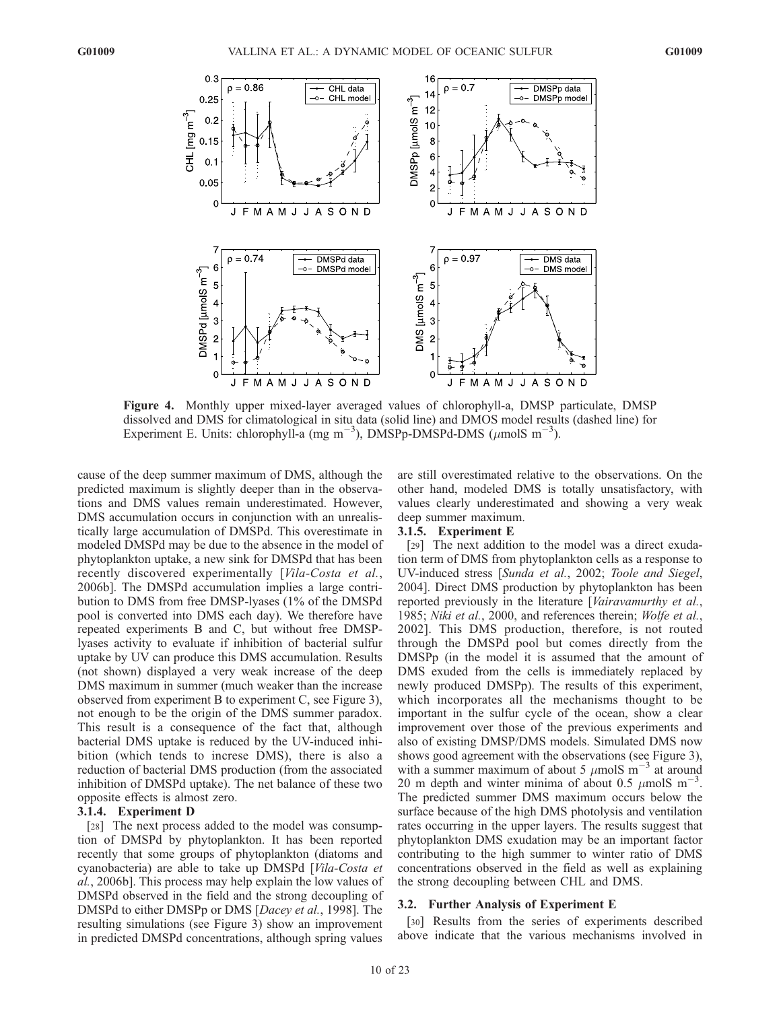

Figure 4. Monthly upper mixed-layer averaged values of chlorophyll-a, DMSP particulate, DMSP dissolved and DMS for climatological in situ data (solid line) and DMOS model results (dashed line) for Experiment E. Units: chlorophyll-a (mg m<sup>-3</sup>), DMSPp-DMSPd-DMS ( $\mu$ molS m<sup>-3</sup>).

cause of the deep summer maximum of DMS, although the predicted maximum is slightly deeper than in the observations and DMS values remain underestimated. However, DMS accumulation occurs in conjunction with an unrealistically large accumulation of DMSPd. This overestimate in modeled DMSPd may be due to the absence in the model of phytoplankton uptake, a new sink for DMSPd that has been recently discovered experimentally [Vila-Costa et al., 2006b]. The DMSPd accumulation implies a large contribution to DMS from free DMSP-lyases (1% of the DMSPd pool is converted into DMS each day). We therefore have repeated experiments B and C, but without free DMSPlyases activity to evaluate if inhibition of bacterial sulfur uptake by UV can produce this DMS accumulation. Results (not shown) displayed a very weak increase of the deep DMS maximum in summer (much weaker than the increase observed from experiment B to experiment C, see Figure 3), not enough to be the origin of the DMS summer paradox. This result is a consequence of the fact that, although bacterial DMS uptake is reduced by the UV-induced inhibition (which tends to increse DMS), there is also a reduction of bacterial DMS production (from the associated inhibition of DMSPd uptake). The net balance of these two opposite effects is almost zero.

# 3.1.4. Experiment D

[28] The next process added to the model was consumption of DMSPd by phytoplankton. It has been reported recently that some groups of phytoplankton (diatoms and cyanobacteria) are able to take up DMSPd [Vila-Costa et al., 2006b]. This process may help explain the low values of DMSPd observed in the field and the strong decoupling of DMSPd to either DMSPp or DMS [Dacey et al., 1998]. The resulting simulations (see Figure 3) show an improvement in predicted DMSPd concentrations, although spring values

are still overestimated relative to the observations. On the other hand, modeled DMS is totally unsatisfactory, with values clearly underestimated and showing a very weak deep summer maximum.

#### 3.1.5. Experiment E

[29] The next addition to the model was a direct exudation term of DMS from phytoplankton cells as a response to UV-induced stress [Sunda et al., 2002; Toole and Siegel, 2004]. Direct DMS production by phytoplankton has been reported previously in the literature [Vairavamurthy et al., 1985; Niki et al., 2000, and references therein; Wolfe et al., 2002]. This DMS production, therefore, is not routed through the DMSPd pool but comes directly from the DMSPp (in the model it is assumed that the amount of DMS exuded from the cells is immediately replaced by newly produced DMSPp). The results of this experiment, which incorporates all the mechanisms thought to be important in the sulfur cycle of the ocean, show a clear improvement over those of the previous experiments and also of existing DMSP/DMS models. Simulated DMS now shows good agreement with the observations (see Figure 3), with a summer maximum of about 5  $\mu$ molS m<sup>-3</sup> at around 20 m depth and winter minima of about 0.5  $\mu$ molS m<sup>-3</sup>. The predicted summer DMS maximum occurs below the surface because of the high DMS photolysis and ventilation rates occurring in the upper layers. The results suggest that phytoplankton DMS exudation may be an important factor contributing to the high summer to winter ratio of DMS concentrations observed in the field as well as explaining the strong decoupling between CHL and DMS.

#### 3.2. Further Analysis of Experiment E

[30] Results from the series of experiments described above indicate that the various mechanisms involved in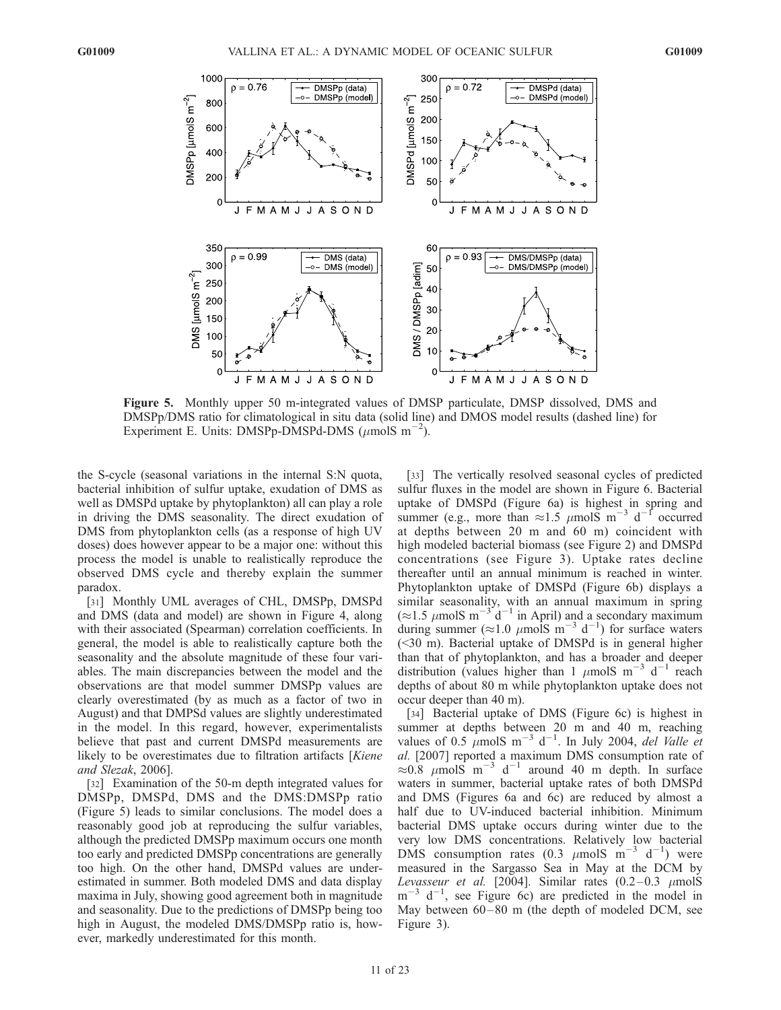

Figure 5. Monthly upper 50 m-integrated values of DMSP particulate, DMSP dissolved, DMS and DMSPp/DMS ratio for climatological in situ data (solid line) and DMOS model results (dashed line) for Experiment E. Units: DMSPp-DMSPd-DMS ( $\mu$ molS m<sup>-2</sup>).

the S-cycle (seasonal variations in the internal S:N quota, bacterial inhibition of sulfur uptake, exudation of DMS as well as DMSPd uptake by phytoplankton) all can play a role in driving the DMS seasonality. The direct exudation of DMS from phytoplankton cells (as a response of high UV doses) does however appear to be a major one: without this process the model is unable to realistically reproduce the observed DMS cycle and thereby explain the summer paradox.

[31] Monthly UML averages of CHL, DMSPp, DMSPd and DMS (data and model) are shown in Figure 4, along with their associated (Spearman) correlation coefficients. In general, the model is able to realistically capture both the seasonality and the absolute magnitude of these four variables. The main discrepancies between the model and the observations are that model summer DMSPp values are clearly overestimated (by as much as a factor of two in August) and that DMPSd values are slightly underestimated in the model. In this regard, however, experimentalists believe that past and current DMSPd measurements are likely to be overestimates due to filtration artifacts [Kiene and Slezak, 2006].

[32] Examination of the 50-m depth integrated values for DMSPp, DMSPd, DMS and the DMS:DMSPp ratio (Figure 5) leads to similar conclusions. The model does a reasonably good job at reproducing the sulfur variables, although the predicted DMSPp maximum occurs one month too early and predicted DMSPp concentrations are generally too high. On the other hand, DMSPd values are underestimated in summer. Both modeled DMS and data display maxima in July, showing good agreement both in magnitude and seasonality. Due to the predictions of DMSPp being too high in August, the modeled DMS/DMSPp ratio is, however, markedly underestimated for this month.

[33] The vertically resolved seasonal cycles of predicted sulfur fluxes in the model are shown in Figure 6. Bacterial uptake of DMSPd (Figure 6a) is highest in spring and summer (e.g., more than  $\approx 1.5$   $\mu$ mol $\overline{S}$  m<sup>-3</sup> d<sup>-1</sup> occurred at depths between 20 m and 60 m) coincident with high modeled bacterial biomass (see Figure 2) and DMSPd concentrations (see Figure 3). Uptake rates decline thereafter until an annual minimum is reached in winter. Phytoplankton uptake of DMSPd (Figure 6b) displays a similar seasonality, with an annual maximum in spring  $(\approx 1.5 \mu \text{molS m}^{-3} d^{-1}$  in April) and a secondary maximum during summer ( $\approx$ 1.0  $\mu$ molS m<sup>-3</sup> d<sup>-1</sup>) for surface waters (<30 m). Bacterial uptake of DMSPd is in general higher than that of phytoplankton, and has a broader and deeper distribution (values higher than 1  $\mu$ molS m<sup>-3</sup> d<sup>-1</sup> reach depths of about 80 m while phytoplankton uptake does not occur deeper than 40 m).

[34] Bacterial uptake of DMS (Figure 6c) is highest in summer at depths between 20 m and 40 m, reaching values of 0.5  $\mu$ molS m<sup>-3</sup> d<sup>-1</sup>. In July 2004, *del Valle et* al. [2007] reported a maximum DMS consumption rate of  $\approx 0.8$   $\mu$ molS m<sup>-3</sup> d<sup>-1</sup> around 40 m depth. In surface waters in summer, bacterial uptake rates of both DMSPd and DMS (Figures 6a and 6c) are reduced by almost a half due to UV-induced bacterial inhibition. Minimum bacterial DMS uptake occurs during winter due to the very low DMS concentrations. Relatively low bacterial DMS consumption rates (0.3  $\mu$ molS m<sup>-3</sup> d<sup>-1</sup>) were measured in the Sargasso Sea in May at the DCM by Levasseur et al. [2004]. Similar rates  $(0.2-0.3 \mu m o)$  $m^{-3}$  d<sup>-1</sup>, see Figure 6c) are predicted in the model in May between  $60 - 80$  m (the depth of modeled DCM, see Figure 3).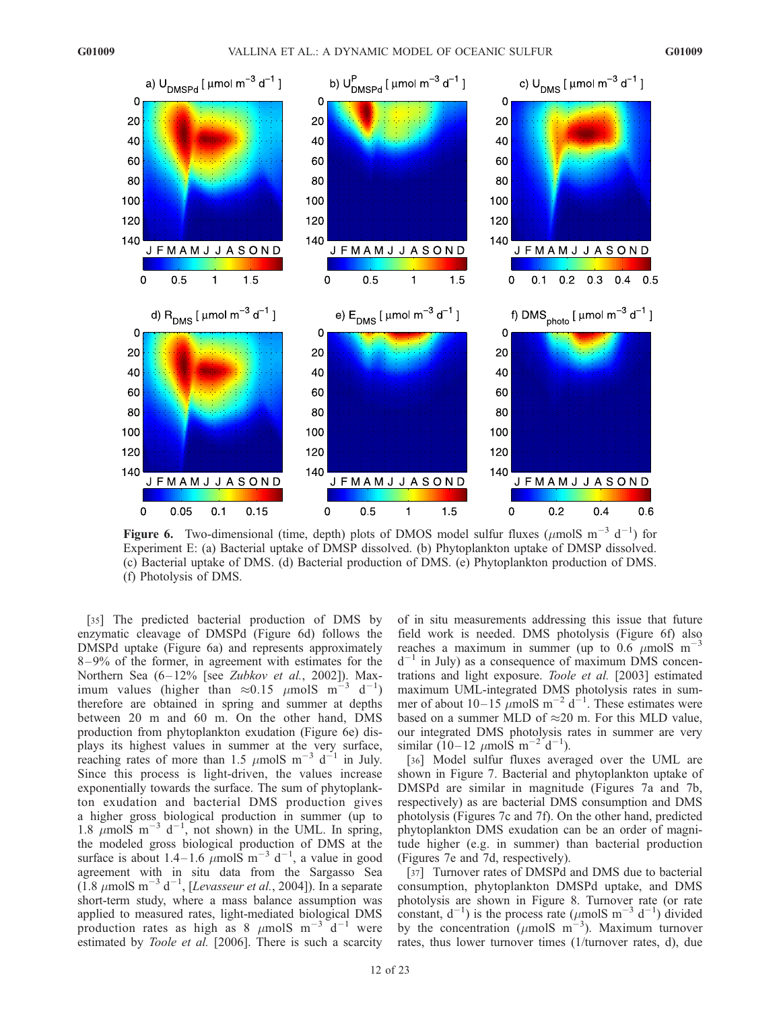

Figure 6. Two-dimensional (time, depth) plots of DMOS model sulfur fluxes ( $\mu$ molS m<sup>-3</sup> d<sup>-1</sup>) for Experiment E: (a) Bacterial uptake of DMSP dissolved. (b) Phytoplankton uptake of DMSP dissolved. (c) Bacterial uptake of DMS. (d) Bacterial production of DMS. (e) Phytoplankton production of DMS. (f) Photolysis of DMS.

[35] The predicted bacterial production of DMS by enzymatic cleavage of DMSPd (Figure 6d) follows the DMSPd uptake (Figure 6a) and represents approximately 8 – 9% of the former, in agreement with estimates for the Northern Sea  $(6-12\%$  [see Zubkov et al., 2002]). Maximum values (higher than  $\approx 0.15$   $\mu$ molS m<sup>23</sup> d<sup>-1</sup>) therefore are obtained in spring and summer at depths between 20 m and 60 m. On the other hand, DMS production from phytoplankton exudation (Figure 6e) displays its highest values in summer at the very surface, reaching rates of more than 1.5  $\mu$ molS m<sup>-3</sup> d<sup>-1</sup> in July. Since this process is light-driven, the values increase exponentially towards the surface. The sum of phytoplankton exudation and bacterial DMS production gives a higher gross biological production in summer (up to 1.8  $\mu$ molS m<sup>-3</sup> d<sup>-1</sup>, not shown) in the UML. In spring, the modeled gross biological production of DMS at the surface is about 1.4–1.6  $\mu$ molS m<sup>-3</sup> d<sup>-1</sup>, a value in good agreement with in situ data from the Sargasso Sea  $(1.8 \ \mu \text{molS m}^{-3} \text{ d}^{-1}$ , [Levasseur et al., 2004]). In a separate short-term study, where a mass balance assumption was applied to measured rates, light-mediated biological DMS production rates as high as 8  $\mu$ molS m<sup>-3</sup> d<sup>-1</sup> were estimated by Toole et al. [2006]. There is such a scarcity

of in situ measurements addressing this issue that future field work is needed. DMS photolysis (Figure 6f) also reaches a maximum in summer (up to 0.6  $\mu$ molS m<sup>-3</sup>  $d^{-1}$  in July) as a consequence of maximum DMS concentrations and light exposure. Toole et al. [2003] estimated maximum UML-integrated DMS photolysis rates in summer of about  $10-15 \mu$ molS m<sup>-2</sup> d<sup>-1</sup>. These estimates were based on a summer MLD of  $\approx 20$  m. For this MLD value, our integrated DMS photolysis rates in summer are very similar (10–12  $\mu$ molS m<sup>-2'</sup>d<sup>-1</sup>).

[36] Model sulfur fluxes averaged over the UML are shown in Figure 7. Bacterial and phytoplankton uptake of DMSPd are similar in magnitude (Figures 7a and 7b, respectively) as are bacterial DMS consumption and DMS photolysis (Figures 7c and 7f). On the other hand, predicted phytoplankton DMS exudation can be an order of magnitude higher (e.g. in summer) than bacterial production (Figures 7e and 7d, respectively).

[37] Turnover rates of DMSPd and DMS due to bacterial consumption, phytoplankton DMSPd uptake, and DMS photolysis are shown in Figure 8. Turnover rate (or rate constant,  $d^{-1}$ ) is the process rate ( $\mu$ molS m<sup>-3</sup> d<sup>-1</sup>) divided by the concentration ( $\mu$ molS m<sup>-3</sup>). Maximum turnover rates, thus lower turnover times (1/turnover rates, d), due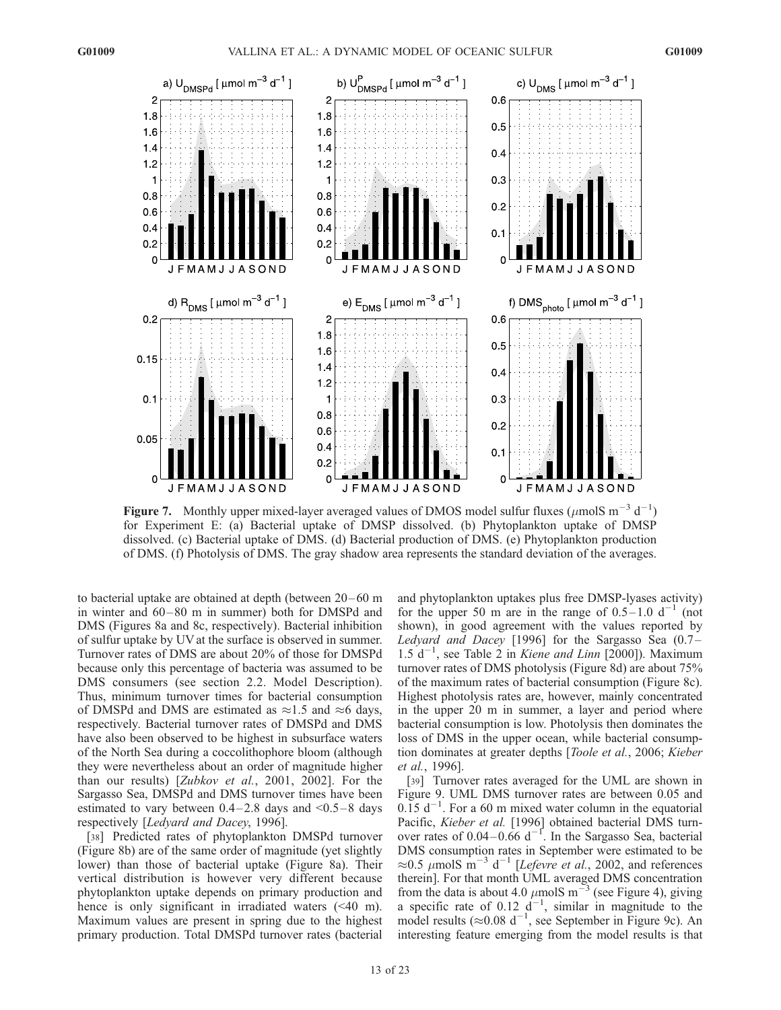

Figure 7. Monthly upper mixed-layer averaged values of DMOS model sulfur fluxes ( $\mu$ molS m<sup>-3</sup> d<sup>-1</sup>) for Experiment E: (a) Bacterial uptake of DMSP dissolved. (b) Phytoplankton uptake of DMSP dissolved. (c) Bacterial uptake of DMS. (d) Bacterial production of DMS. (e) Phytoplankton production of DMS. (f) Photolysis of DMS. The gray shadow area represents the standard deviation of the averages.

to bacterial uptake are obtained at depth (between 20–60 m in winter and  $60 - 80$  m in summer) both for DMSPd and DMS (Figures 8a and 8c, respectively). Bacterial inhibition of sulfur uptake by UV at the surface is observed in summer. Turnover rates of DMS are about 20% of those for DMSPd because only this percentage of bacteria was assumed to be DMS consumers (see section 2.2. Model Description). Thus, minimum turnover times for bacterial consumption of DMSPd and DMS are estimated as  $\approx$ 1.5 and  $\approx$ 6 days, respectively. Bacterial turnover rates of DMSPd and DMS have also been observed to be highest in subsurface waters of the North Sea during a coccolithophore bloom (although they were nevertheless about an order of magnitude higher than our results) [Zubkov et al., 2001, 2002]. For the Sargasso Sea, DMSPd and DMS turnover times have been estimated to vary between  $0.4-2.8$  days and  $\leq 0.5-8$  days respectively [Ledyard and Dacey, 1996].

[38] Predicted rates of phytoplankton DMSPd turnover (Figure 8b) are of the same order of magnitude (yet slightly lower) than those of bacterial uptake (Figure 8a). Their vertical distribution is however very different because phytoplankton uptake depends on primary production and hence is only significant in irradiated waters (<40 m). Maximum values are present in spring due to the highest primary production. Total DMSPd turnover rates (bacterial and phytoplankton uptakes plus free DMSP-lyases activity) for the upper 50 m are in the range of  $0.5-1.0$  d<sup>-1</sup> (not shown), in good agreement with the values reported by Ledyard and Dacey [1996] for the Sargasso Sea  $(0.7 1.5\ \text{d}^{-1}$ , see Table 2 in Kiene and Linn [2000]). Maximum turnover rates of DMS photolysis (Figure 8d) are about 75% of the maximum rates of bacterial consumption (Figure 8c). Highest photolysis rates are, however, mainly concentrated in the upper 20 m in summer, a layer and period where bacterial consumption is low. Photolysis then dominates the loss of DMS in the upper ocean, while bacterial consumption dominates at greater depths [Toole et al., 2006; Kieber et al., 1996].

[39] Turnover rates averaged for the UML are shown in Figure 9. UML DMS turnover rates are between 0.05 and  $0.15$  d<sup>-1</sup>. For a 60 m mixed water column in the equatorial Pacific, Kieber et al. [1996] obtained bacterial DMS turnover rates of  $0.04 - 0.66$  d<sup>-1</sup>. In the Sargasso Sea, bacterial DMS consumption rates in September were estimated to be  $\approx 0.5 \mu$ molS m<sup>-3</sup> d<sup>-1</sup> [*Lefevre et al.*, 2002, and references therein]. For that month UML averaged DMS concentration from the data is about 4.0  $\mu$ molS m<sup>-3</sup> (see Figure 4), giving a specific rate of 0.12  $d^{-1}$ , similar in magnitude to the model results ( $\approx$ 0.08 d<sup>-1</sup>, see September in Figure 9c). An interesting feature emerging from the model results is that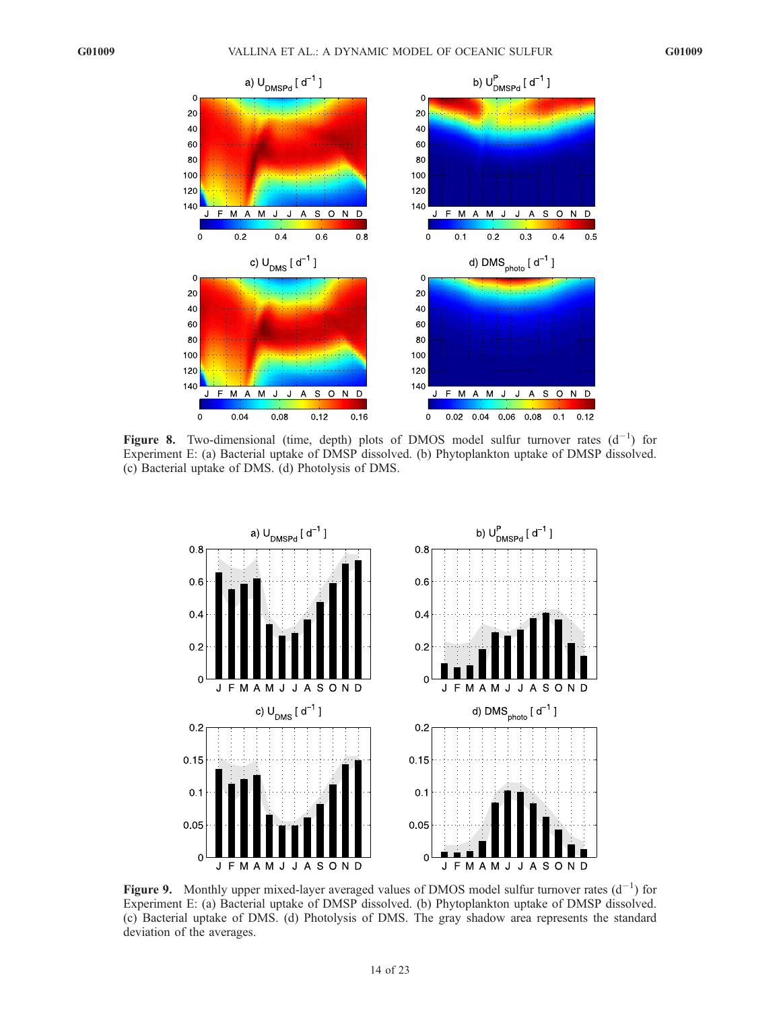

Figure 8. Two-dimensional (time, depth) plots of DMOS model sulfur turnover rates  $(d^{-1})$  for Experiment E: (a) Bacterial uptake of DMSP dissolved. (b) Phytoplankton uptake of DMSP dissolved. (c) Bacterial uptake of DMS. (d) Photolysis of DMS.



Figure 9. Monthly upper mixed-layer averaged values of DMOS model sulfur turnover rates  $(d^{-1})$  for Experiment E: (a) Bacterial uptake of DMSP dissolved. (b) Phytoplankton uptake of DMSP dissolved. (c) Bacterial uptake of DMS. (d) Photolysis of DMS. The gray shadow area represents the standard deviation of the averages.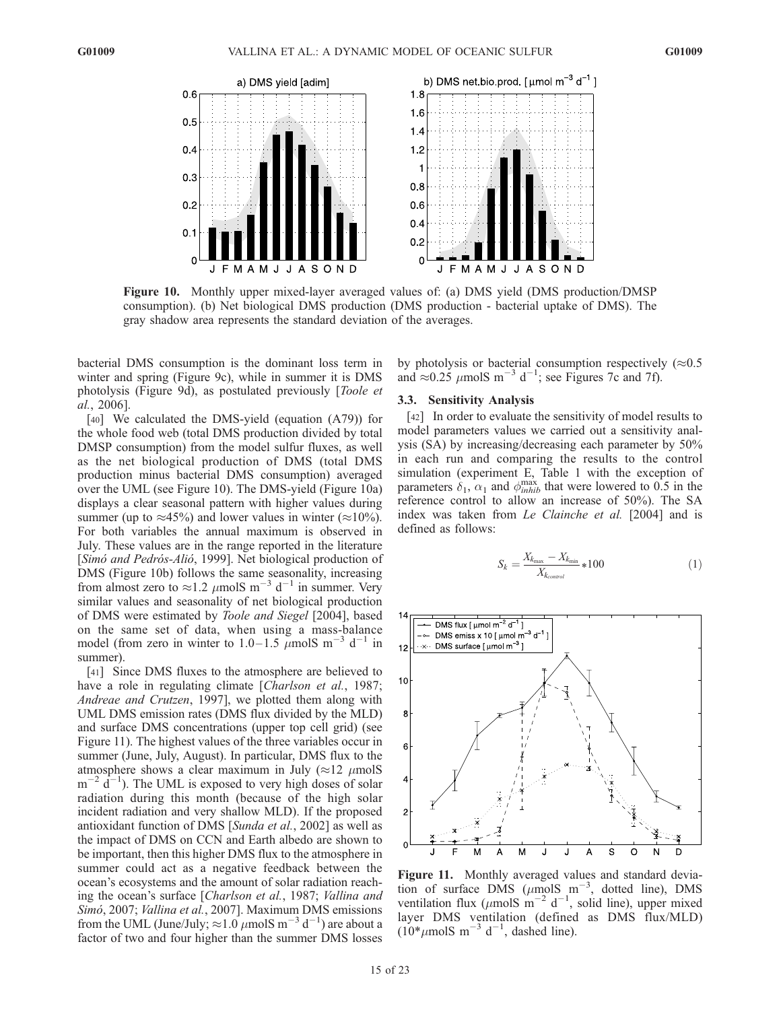

Figure 10. Monthly upper mixed-layer averaged values of: (a) DMS yield (DMS production/DMSP consumption). (b) Net biological DMS production (DMS production - bacterial uptake of DMS). The gray shadow area represents the standard deviation of the averages.

bacterial DMS consumption is the dominant loss term in winter and spring (Figure 9c), while in summer it is DMS photolysis (Figure 9d), as postulated previously [Toole et al., 2006].

[40] We calculated the DMS-yield (equation (A79)) for the whole food web (total DMS production divided by total DMSP consumption) from the model sulfur fluxes, as well as the net biological production of DMS (total DMS production minus bacterial DMS consumption) averaged over the UML (see Figure 10). The DMS-yield (Figure 10a) displays a clear seasonal pattern with higher values during summer (up to  $\approx 45\%$ ) and lower values in winter ( $\approx 10\%$ ). For both variables the annual maximum is observed in July. These values are in the range reported in the literature [Simó and Pedrós-Alió, 1999]. Net biological production of DMS (Figure 10b) follows the same seasonality, increasing from almost zero to  $\approx$ 1.2  $\mu$ molS m<sup>-3</sup> d<sup>-1</sup> in summer. Very similar values and seasonality of net biological production of DMS were estimated by Toole and Siegel [2004], based on the same set of data, when using a mass-balance model (from zero in winter to 1.0–1.5  $\mu$ molS m<sup>-3</sup> d<sup>-1</sup> in summer).

[41] Since DMS fluxes to the atmosphere are believed to have a role in regulating climate [Charlson et al., 1987; Andreae and Crutzen, 1997], we plotted them along with UML DMS emission rates (DMS flux divided by the MLD) and surface DMS concentrations (upper top cell grid) (see Figure 11). The highest values of the three variables occur in summer (June, July, August). In particular, DMS flux to the atmosphere shows a clear maximum in July ( $\approx$ 12  $\mu$ molS  $m^{-2}$   $d^{-1}$ ). The UML is exposed to very high doses of solar radiation during this month (because of the high solar incident radiation and very shallow MLD). If the proposed antioxidant function of DMS [Sunda et al., 2002] as well as the impact of DMS on CCN and Earth albedo are shown to be important, then this higher DMS flux to the atmosphere in summer could act as a negative feedback between the ocean's ecosystems and the amount of solar radiation reaching the ocean's surface [Charlson et al., 1987; Vallina and Simó, 2007; Vallina et al., 2007]. Maximum DMS emissions from the UML (June/July;  $\approx 1.0 \mu$ molS m<sup>-3</sup> d<sup>-1</sup>) are about a factor of two and four higher than the summer DMS losses

by photolysis or bacterial consumption respectively  $(\approx 0.5)$ and  $\approx 0.25 \ \mu$ molS m<sup>-3</sup> d<sup>-1</sup>; see Figures 7c and 7f).

## 3.3. Sensitivity Analysis

[42] In order to evaluate the sensitivity of model results to model parameters values we carried out a sensitivity analysis (SA) by increasing/decreasing each parameter by 50% in each run and comparing the results to the control simulation (experiment E, Table 1 with the exception of parameters  $\delta_1$ ,  $\alpha_1$  and  $\phi_{inhib}^{\text{max}}$  that were lowered to 0.5 in the reference control to allow an increase of 50%). The SA index was taken from Le Clainche et al. [2004] and is defined as follows:

$$
S_k = \frac{X_{k_{\text{max}}} - X_{k_{\text{min}}} \cdot 100}{X_{k_{control}}} \cdot 100 \tag{1}
$$



Figure 11. Monthly averaged values and standard deviation of surface DMS  $(\mu \text{molS m}^{-3})$ , dotted line), DMS ventilation flux ( $\mu$ molS m<sup>-2</sup> d<sup>-1</sup>, solid line), upper mixed layer DMS ventilation (defined as DMS flux/MLD)  $(10^* \mu \text{molS m}^{-3} \text{ d}^{-1}$ , dashed line).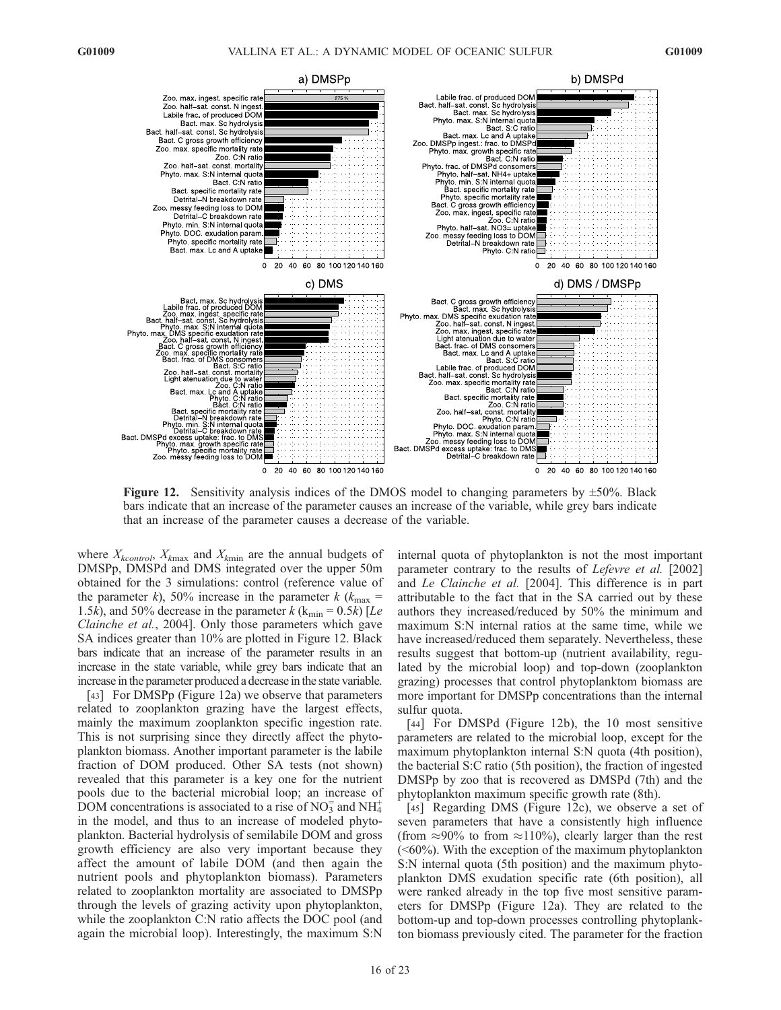

Figure 12. Sensitivity analysis indices of the DMOS model to changing parameters by  $\pm 50\%$ . Black bars indicate that an increase of the parameter causes an increase of the variable, while grey bars indicate that an increase of the parameter causes a decrease of the variable.

where  $X_{kcontrol}$ ,  $X_{kmax}$  and  $X_{kmin}$  are the annual budgets of DMSPp, DMSPd and DMS integrated over the upper 50m obtained for the 3 simulations: control (reference value of the parameter k), 50% increase in the parameter k ( $k_{\text{max}}$  = 1.5k), and 50% decrease in the parameter k ( $k_{min} = 0.5k$ ) [Le Clainche et al., 2004]. Only those parameters which gave SA indices greater than 10% are plotted in Figure 12. Black bars indicate that an increase of the parameter results in an increase in the state variable, while grey bars indicate that an increase in the parameter produced a decrease in the state variable.

[43] For DMSPp (Figure 12a) we observe that parameters related to zooplankton grazing have the largest effects, mainly the maximum zooplankton specific ingestion rate. This is not surprising since they directly affect the phytoplankton biomass. Another important parameter is the labile fraction of DOM produced. Other SA tests (not shown) revealed that this parameter is a key one for the nutrient pools due to the bacterial microbial loop; an increase of DOM concentrations is associated to a rise of NO<sub>3</sub> and NH<sub>4</sub> in the model, and thus to an increase of modeled phytoplankton. Bacterial hydrolysis of semilabile DOM and gross growth efficiency are also very important because they affect the amount of labile DOM (and then again the nutrient pools and phytoplankton biomass). Parameters related to zooplankton mortality are associated to DMSPp through the levels of grazing activity upon phytoplankton, while the zooplankton C:N ratio affects the DOC pool (and again the microbial loop). Interestingly, the maximum S:N

internal quota of phytoplankton is not the most important parameter contrary to the results of Lefevre et al. [2002] and Le Clainche et al. [2004]. This difference is in part attributable to the fact that in the SA carried out by these authors they increased/reduced by 50% the minimum and maximum S:N internal ratios at the same time, while we have increased/reduced them separately. Nevertheless, these results suggest that bottom-up (nutrient availability, regulated by the microbial loop) and top-down (zooplankton grazing) processes that control phytoplanktom biomass are more important for DMSPp concentrations than the internal sulfur quota.

[44] For DMSPd (Figure 12b), the 10 most sensitive parameters are related to the microbial loop, except for the maximum phytoplankton internal S:N quota (4th position), the bacterial S:C ratio (5th position), the fraction of ingested DMSPp by zoo that is recovered as DMSPd (7th) and the phytoplankton maximum specific growth rate (8th).

[45] Regarding DMS (Figure 12c), we observe a set of seven parameters that have a consistently high influence (from  $\approx 90\%$  to from  $\approx 110\%$ ), clearly larger than the rest  $(<60\%)$ . With the exception of the maximum phytoplankton S:N internal quota (5th position) and the maximum phytoplankton DMS exudation specific rate (6th position), all were ranked already in the top five most sensitive parameters for DMSPp (Figure 12a). They are related to the bottom-up and top-down processes controlling phytoplankton biomass previously cited. The parameter for the fraction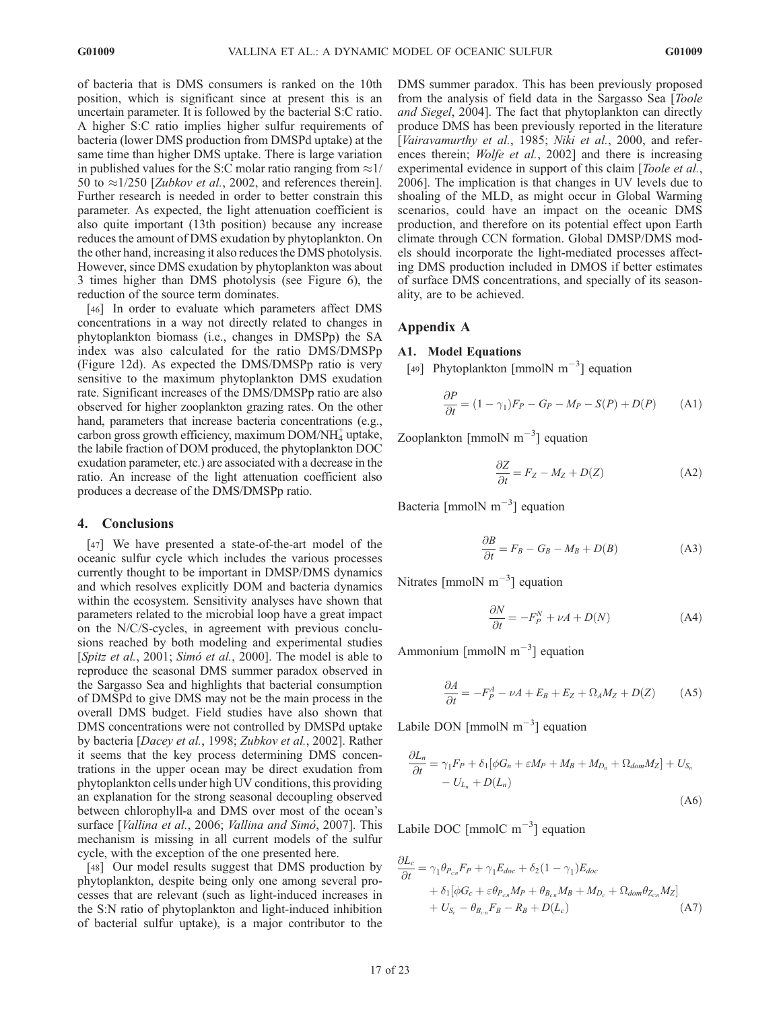of bacteria that is DMS consumers is ranked on the 10th position, which is significant since at present this is an uncertain parameter. It is followed by the bacterial S:C ratio. A higher S:C ratio implies higher sulfur requirements of bacteria (lower DMS production from DMSPd uptake) at the same time than higher DMS uptake. There is large variation in published values for the S:C molar ratio ranging from  $\approx$  1/ 50 to  $\approx$ 1/250 [Zubkov et al., 2002, and references therein]. Further research is needed in order to better constrain this parameter. As expected, the light attenuation coefficient is also quite important (13th position) because any increase reduces the amount of DMS exudation by phytoplankton. On the other hand, increasing it also reduces the DMS photolysis. However, since DMS exudation by phytoplankton was about 3 times higher than DMS photolysis (see Figure 6), the reduction of the source term dominates.

[46] In order to evaluate which parameters affect DMS concentrations in a way not directly related to changes in phytoplankton biomass (i.e., changes in DMSPp) the SA index was also calculated for the ratio DMS/DMSPp (Figure 12d). As expected the DMS/DMSPp ratio is very sensitive to the maximum phytoplankton DMS exudation rate. Significant increases of the DMS/DMSPp ratio are also observed for higher zooplankton grazing rates. On the other hand, parameters that increase bacteria concentrations (e.g., carbon gross growth efficiency, maximum  $DOM/NH_4^+$  uptake, the labile fraction of DOM produced, the phytoplankton DOC exudation parameter, etc.) are associated with a decrease in the ratio. An increase of the light attenuation coefficient also produces a decrease of the DMS/DMSPp ratio.

#### 4. Conclusions

[47] We have presented a state-of-the-art model of the oceanic sulfur cycle which includes the various processes currently thought to be important in DMSP/DMS dynamics and which resolves explicitly DOM and bacteria dynamics within the ecosystem. Sensitivity analyses have shown that parameters related to the microbial loop have a great impact on the N/C/S-cycles, in agreement with previous conclusions reached by both modeling and experimental studies [Spitz et al., 2001; Simó et al., 2000]. The model is able to reproduce the seasonal DMS summer paradox observed in the Sargasso Sea and highlights that bacterial consumption of DMSPd to give DMS may not be the main process in the overall DMS budget. Field studies have also shown that DMS concentrations were not controlled by DMSPd uptake by bacteria [Dacey et al., 1998; Zubkov et al., 2002]. Rather it seems that the key process determining DMS concentrations in the upper ocean may be direct exudation from phytoplankton cells under high UV conditions, this providing an explanation for the strong seasonal decoupling observed between chlorophyll-a and DMS over most of the ocean's surface [Vallina et al., 2006; Vallina and Simó, 2007]. This mechanism is missing in all current models of the sulfur cycle, with the exception of the one presented here.

[48] Our model results suggest that DMS production by phytoplankton, despite being only one among several processes that are relevant (such as light-induced increases in the S:N ratio of phytoplankton and light-induced inhibition of bacterial sulfur uptake), is a major contributor to the DMS summer paradox. This has been previously proposed from the analysis of field data in the Sargasso Sea [Toole and Siegel, 2004]. The fact that phytoplankton can directly produce DMS has been previously reported in the literature [Vairavamurthy et al., 1985; Niki et al., 2000, and references therein; *Wolfe et al.*, 2002] and there is increasing experimental evidence in support of this claim [Toole et al., 2006]. The implication is that changes in UV levels due to shoaling of the MLD, as might occur in Global Warming scenarios, could have an impact on the oceanic DMS production, and therefore on its potential effect upon Earth climate through CCN formation. Global DMSP/DMS models should incorporate the light-mediated processes affecting DMS production included in DMOS if better estimates of surface DMS concentrations, and specially of its seasonality, are to be achieved.

## Appendix A

## A1. Model Equations

[49] Phytoplankton [mmolN  $m^{-3}$ ] equation

$$
\frac{\partial P}{\partial t} = (1 - \gamma_1)F_P - G_P - M_P - S(P) + D(P) \tag{A1}
$$

Zooplankton [mmolN  $m^{-3}$ ] equation

$$
\frac{\partial Z}{\partial t} = F_Z - M_Z + D(Z) \tag{A2}
$$

Bacteria [mmolN  $m^{-3}$ ] equation

$$
\frac{\partial B}{\partial t} = F_B - G_B - M_B + D(B) \tag{A3}
$$

Nitrates [mmolN  $m^{-3}$ ] equation

$$
\frac{\partial N}{\partial t} = -F_P^N + \nu A + D(N) \tag{A4}
$$

Ammonium [mmolN  $m^{-3}$ ] equation

$$
\frac{\partial A}{\partial t} = -F_P^A - \nu A + E_B + E_Z + \Omega_A M_Z + D(Z) \tag{A5}
$$

Labile DON [mmolN  $m^{-3}$ ] equation

$$
\frac{\partial L_n}{\partial t} = \gamma_1 F_P + \delta_1 [\phi G_n + \varepsilon M_P + M_B + M_{D_n} + \Omega_{dom} M_Z] + U_{S_n}
$$

$$
- U_{L_n} + D(L_n)
$$
(A6)

Labile DOC [mmolC  $m^{-3}$ ] equation

$$
\frac{\partial L_c}{\partial t} = \gamma_1 \theta_{P_{cm}} F_P + \gamma_1 E_{doc} + \delta_2 (1 - \gamma_1) E_{doc} \n+ \delta_1 [\phi G_c + \varepsilon \theta_{P_{cm}} M_P + \theta_{B_{cm}} M_B + M_{D_c} + \Omega_{dom} \theta_{Z_{cm}} M_Z] \n+ U_{S_c} - \theta_{B_{cm}} F_B - R_B + D(L_c)
$$
\n(A7)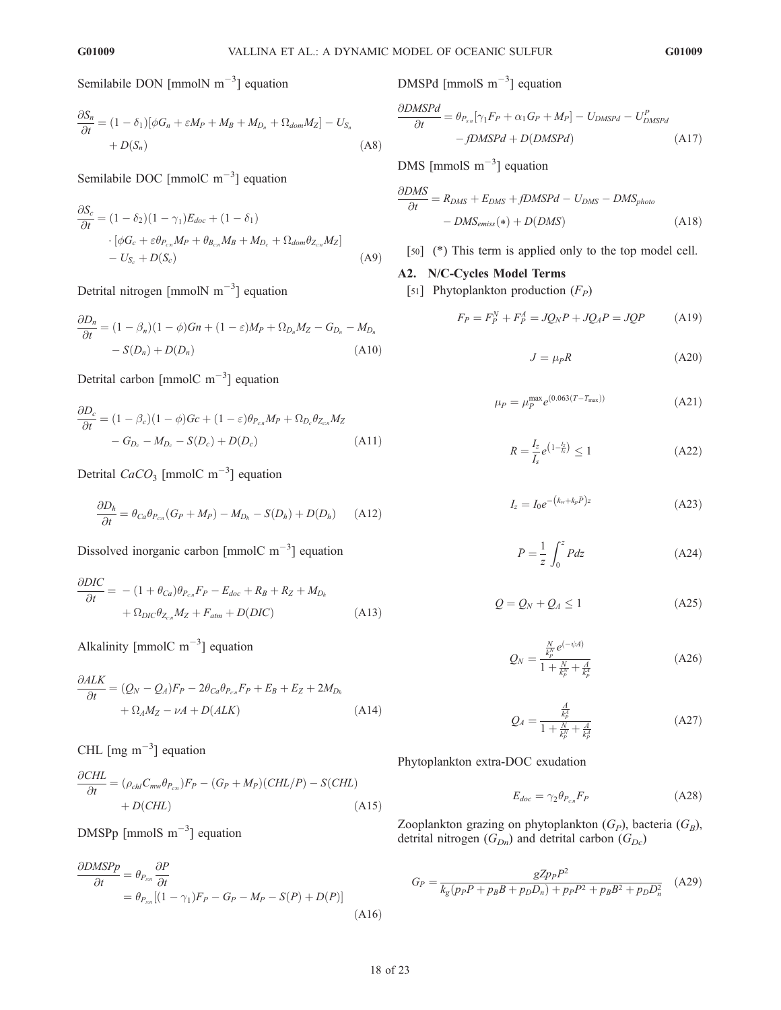Semilabile DON [mmolN  $m^{-3}$ ] equation

$$
\frac{\partial S_n}{\partial t} = (1 - \delta_1)[\phi G_n + \varepsilon M_P + M_B + M_{D_n} + \Omega_{dom} M_Z] - U_{S_n}
$$
  
+  $D(S_n)$  (A8)

Semilabile DOC [mmolC  $m^{-3}$ ] equation

$$
\frac{\partial S_c}{\partial t} = (1 - \delta_2)(1 - \gamma_1)E_{doc} + (1 - \delta_1)
$$

$$
\cdot [\phi G_c + \varepsilon \theta_{P_{cn}} M_P + \theta_{B_{cn}} M_B + M_{D_c} + \Omega_{dom} \theta_{Z_{cn}} M_Z]
$$

$$
- U_{S_c} + D(S_c)
$$
(A9)

Detrital nitrogen [mmolN  $m^{-3}$ ] equation

$$
\frac{\partial D_n}{\partial t} = (1 - \beta_n)(1 - \phi)G_n + (1 - \varepsilon)M_P + \Omega_{D_n}M_Z - G_{D_n} - M_{D_n}
$$
  
- S(D\_n) + D(D\_n) (A10)

Detrital carbon [mmolC  $m^{-3}$ ] equation

$$
\frac{\partial D_c}{\partial t} = (1 - \beta_c)(1 - \phi)Gc + (1 - \varepsilon)\theta_{P_{cn}}M_P + \Omega_{D_c}\theta_{Z_{cn}}M_Z - G_{D_c} - M_{D_c} - S(D_c) + D(D_c)
$$
\n(A11)

Detrital  $CaCO<sub>3</sub>$  [mmolC m<sup>-3</sup>] equation

$$
\frac{\partial D_h}{\partial t} = \theta_{Ca}\theta_{P_{cn}}(G_P + M_P) - M_{D_h} - S(D_h) + D(D_h) \qquad (A12)
$$

Dissolved inorganic carbon [mmolC  $m^{-3}$ ] equation

$$
\frac{\partial DIC}{\partial t} = -(1 + \theta_{Ca})\theta_{P_{cn}}F_P - E_{doc} + R_B + R_Z + M_{D_h}
$$

$$
+ \Omega_{DIC}\theta_{Z_{cn}}M_Z + F_{atm} + D(DIC)
$$
(A13)

Alkalinity [mmolC  $m^{-3}$ ] equation

$$
\frac{\partial ALK}{\partial t} = (Q_N - Q_A)F_P - 2\theta_{Ca}\theta_{P_{ca}}F_P + E_B + E_Z + 2M_{D_h}
$$

$$
+ \Omega_A M_Z - \nu A + D(ALK)
$$
(A14)

CHL  $\left[\text{mg m}^{-3}\right]$  equation

$$
\frac{\partial CHL}{\partial t} = (\rho_{chl} C_{mw} \theta_{P_{cn}}) F_P - (G_P + M_P)(CHL/P) - S(CHL) + D(CHL)
$$
\n(A15)

 $DMSPp$  [mmolS m<sup>-3</sup>] equation

$$
\frac{\partial DMSP_p}{\partial t} = \theta_{P_{sn}} \frac{\partial P}{\partial t}
$$
  
=  $\theta_{P_{sn}} [(1 - \gamma_1)F_P - G_P - M_P - S(P) + D(P)]$  (A16)

 $DMSPd$  [mmolS m<sup>-3</sup>] equation

$$
\frac{\partial DMSPd}{\partial t} = \theta_{P_{sn}}[\gamma_1 F_P + \alpha_1 G_P + M_P] - U_{DMSPd} - U_{DMSPd}^P
$$
  
-
$$
-fDMSPd + D(DMSPd)
$$
 (A17)

DMS [mmolS  $m^{-3}$ ] equation

$$
\frac{\partial DMS}{\partial t} = R_{DMS} + E_{DMS} + fDMSPd - U_{DMS} - DMS_{photo}
$$

$$
- DMS_{emiss}(\ast) + D(DMS) \tag{A18}
$$

[50] (\*) This term is applied only to the top model cell.

# A2. N/C-Cycles Model Terms

[51] Phytoplankton production  $(F_P)$ 

$$
F_P = F_P^N + F_P^A = JQ_N P + JQ_A P = JQP \tag{A19}
$$

$$
J = \mu_P R \tag{A20}
$$

$$
\mu_P = \mu_P^{\max} e^{(0.063(T - T_{\max}))} \tag{A21}
$$

$$
R = \frac{I_z}{I_s} e^{\left(1 - \frac{I_z}{I_s}\right)} \le 1\tag{A22}
$$

$$
I_z = I_0 e^{-(k_w + k_p \bar{P})z}
$$
 (A23)

$$
\bar{P} = \frac{1}{z} \int_0^z P dz \tag{A24}
$$

$$
Q = Q_N + Q_A \le 1 \tag{A25}
$$

$$
Q_N = \frac{\frac{N}{k_P^N} e^{(-\psi A)}}{1 + \frac{N}{k_P^N} + \frac{A}{k_P^A}}
$$
(A26)

$$
Q_A = \frac{\frac{A}{k_p^a}}{1 + \frac{N}{k_p^b} + \frac{A}{k_p^d}}
$$
 (A27)

Phytoplankton extra-DOC exudation

$$
E_{doc} = \gamma_2 \theta_{P_{cn}} F_P \tag{A28}
$$

Zooplankton grazing on phytoplankton  $(G_P)$ , bacteria  $(G_B)$ , detrital nitrogen  $(G_{Dn})$  and detrital carbon  $(G_{Dc})$ 

$$
G_P = \frac{gZp_PP^2}{k_g(p_PP + p_BB + p_DD_n) + p_PP^2 + p_BB^2 + p_DD_n^2}
$$
 (A29)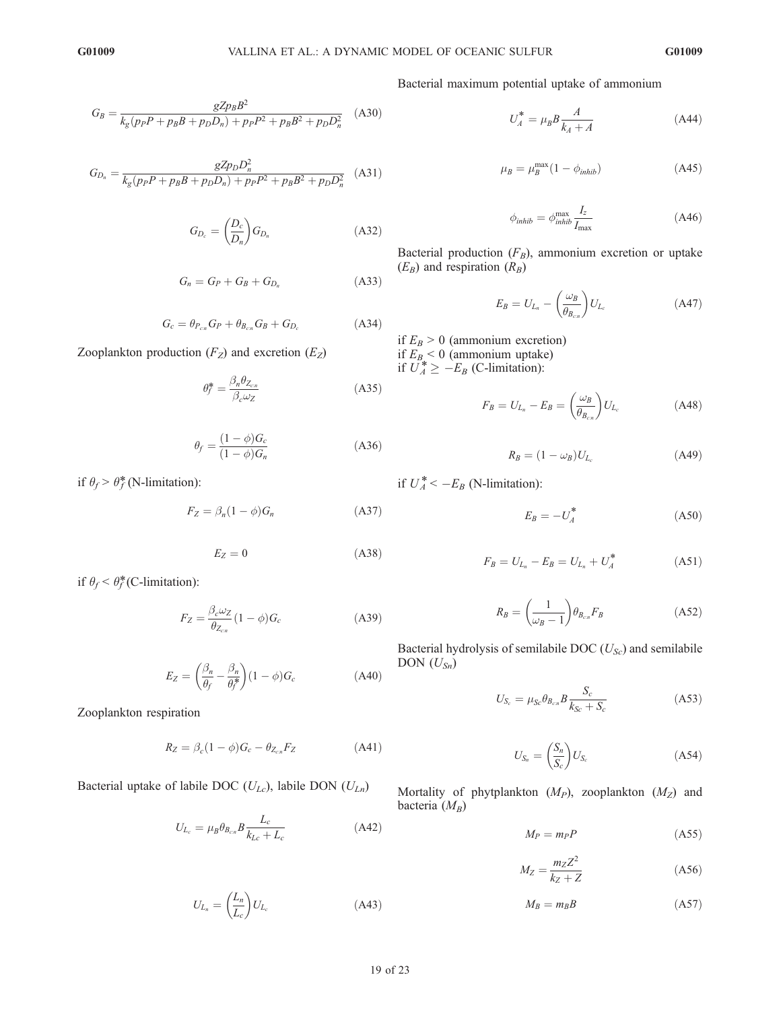$$
G_B = \frac{gZp_BB^2}{k_g(p_PP + p_BB + p_DD_n) + p_PP^2 + p_BB^2 + p_DD_n^2}
$$
 (A30)

$$
G_{D_n} = \frac{gZp_D D_n^2}{k_g(p_P P + p_B B + p_D D_n) + p_P P^2 + p_B B^2 + p_D D_n^2}
$$
 (A31)

$$
G_{D_c} = \left(\frac{D_c}{D_n}\right) G_{D_n} \tag{A32}
$$

$$
G_n = G_P + G_B + G_{D_n} \tag{A33}
$$

$$
G_c = \theta_{P_{cn}} G_P + \theta_{B_{cn}} G_B + G_{D_c}
$$
 (A34)

Zooplankton production  $(F_Z)$  and excretion  $(E_Z)$ 

$$
\theta_f^* = \frac{\beta_n \theta_{Z_{cn}}}{\beta_c \omega_Z} \tag{A35}
$$

$$
\theta_f = \frac{(1 - \phi)G_c}{(1 - \phi)G_n} \tag{A36}
$$

if  $\theta_f > \theta_f^*$  (N-limitation):

$$
F_Z = \beta_n (1 - \phi) G_n \tag{A37}
$$

$$
E_Z = 0 \tag{A38}
$$

if  $\theta_f \leq \theta_f^*$  (C-limitation):

$$
F_Z = \frac{\beta_c \omega_Z}{\theta_{Z_{cn}}} (1 - \phi) G_c \tag{A39}
$$

$$
E_Z = \left(\frac{\beta_n}{\theta_f} - \frac{\beta_n}{\theta_f^*}\right)(1 - \phi)G_c \tag{A40}
$$

Zooplankton respiration

$$
R_Z = \beta_c (1 - \phi) G_c - \theta_{Z_{cn}} F_Z \tag{A41}
$$

Bacterial uptake of labile DOC ( $U_{Lc}$ ), labile DON ( $U_{Ln}$ )

$$
U_{L_c} = \mu_B \theta_{B_{cn}} B \frac{L_c}{k_{Lc} + L_c}
$$
 (A42)

$$
U_{L_n} = \left(\frac{L_n}{L_c}\right) U_{L_c} \tag{A43}
$$

Bacterial maximum potential uptake of ammonium

$$
U_A^* = \mu_B B \frac{A}{k_A + A} \tag{A44}
$$

$$
\mu_B = \mu_B^{\text{max}} (1 - \phi_{inhib}) \tag{A45}
$$

$$
\phi_{inhib} = \phi_{inhib}^{\max} \frac{I_z}{I_{\max}} \tag{A46}
$$

Bacterial production  $(F_B)$ , ammonium excretion or uptake  $(E_B)$  and respiration  $(R_B)$ 

$$
E_B = U_{L_n} - \left(\frac{\omega_B}{\theta_{B_{cn}}}\right)U_{L_c}
$$
 (A47)

if  $E_B > 0$  (ammonium excretion) if  $E_B < 0$  (ammonium uptake) if  $U_A^* \geq -E_B$  (C-limitation):

$$
F_B = U_{L_n} - E_B = \left(\frac{\omega_B}{\theta_{B_{cn}}}\right) U_{L_c}
$$
 (A48)

$$
R_B = (1 - \omega_B) U_{L_c} \tag{A49}
$$

if  $U_A^* < -E_B$  (N-limitation):

$$
E_B = -U_A^* \tag{A50}
$$

$$
F_B = U_{L_n} - E_B = U_{L_n} + U_A^*
$$
 (A51)

$$
R_B = \left(\frac{1}{\omega_B - 1}\right) \theta_{B_{cn}} F_B \tag{A52}
$$

Bacterial hydrolysis of semilabile DOC  $(U_{Sc})$  and semilabile DON  $(U_{Sn})$ 

$$
U_{S_c} = \mu_{Sc} \theta_{B_{cn}} B \frac{S_c}{k_{Sc} + S_c}
$$
 (A53)

$$
U_{S_n} = \left(\frac{S_n}{S_c}\right) U_{S_c} \tag{A54}
$$

Mortality of phytplankton  $(M_P)$ , zooplankton  $(M_Z)$  and bacteria  $(M_B)$ 

$$
M_P = m_P P \tag{A55}
$$

$$
M_Z = \frac{m_Z Z^2}{k_Z + Z} \tag{A56}
$$

$$
M_B = m_B B \tag{A57}
$$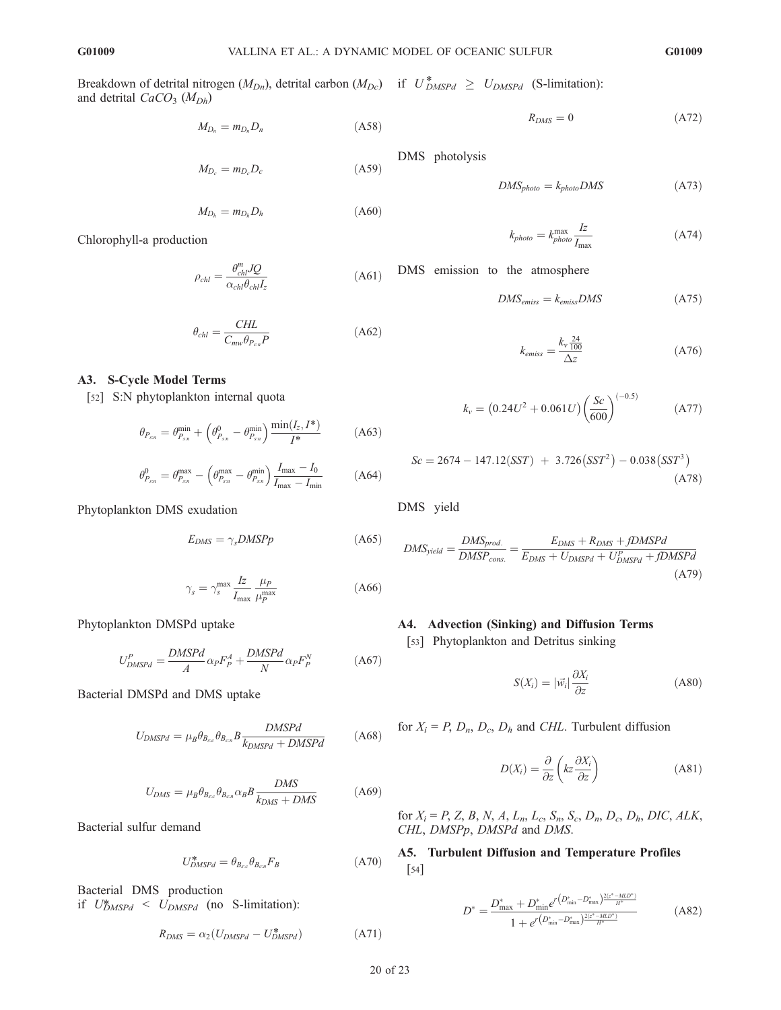Breakdown of detrital nitrogen  $(M_{Dn})$ , detrital carbon  $(M_{Dc})$  if  $U^*_{DMSPd} \geq U_{DMSPd}$  (S-limitation): and detrital  $CaCO<sub>3</sub> (M<sub>Dh</sub>)$ 

$$
M_{D_n} = m_{D_n} D_n \tag{A58}
$$

$$
M_{D_c} = m_{D_c} D_c \tag{A59}
$$

$$
M_{D_h} = m_{D_h} D_h \tag{A60}
$$

Chlorophyll-a production

$$
\rho_{chl} = \frac{\theta_{chl}^m J Q}{\alpha_{chl} \theta_{chl} I_z}
$$
(A61)

$$
\theta_{chl} = \frac{CHL}{C_{mw}\theta_{P_{cn}}P}
$$
(A62)

# A3. S-Cycle Model Terms

[52] S:N phytoplankton internal quota

$$
\theta_{P_{sn}} = \theta_{P_{sn}}^{\min} + \left(\theta_{P_{sn}}^0 - \theta_{P_{sn}}^{\min}\right) \frac{\min(I_z, I^*)}{I^*}
$$
 (A63)

$$
\theta_{P_{s:n}}^0 = \theta_{P_{s:n}}^{\max} - \left(\theta_{P_{s:n}}^{\max} - \theta_{P_{s:n}}^{\min}\right) \frac{I_{\max} - I_0}{I_{\max} - I_{\min}}
$$
(A64)

Phytoplankton DMS exudation

$$
E_{DMS} = \gamma_s DMSPp \tag{A65}
$$

$$
\gamma_s = \gamma_s^{\text{max}} \frac{I z}{I_{\text{max}}} \frac{\mu_P}{\mu_P^{\text{max}}} \tag{A66}
$$

Phytoplankton DMSPd uptake

$$
U_{DMSPd}^{P} = \frac{DMSPd}{A} \alpha_P F_P^A + \frac{DMSPd}{N} \alpha_P F_P^N \tag{A67}
$$

Bacterial DMSPd and DMS uptake

$$
U_{DMSPd} = \mu_B \theta_{B_{sc}} \theta_{B_{cn}} B \frac{DMSPd}{k_{DMSPd} + DMSPd} \tag{A68}
$$

$$
U_{DMS} = \mu_B \theta_{B_{sc}} \theta_{B_{cn}} \alpha_B B \frac{DMS}{k_{DMS} + DMS}
$$
 (A69)

Bacterial sulfur demand

$$
U_{\text{DMSPd}}^* = \theta_{B_{sc}} \theta_{B_{cn}} F_B \tag{A70}
$$

Bacterial DMS production if  $U_{DMSPd}^* < U_{DMSPd}$  (no S-limitation):

$$
R_{DMS} = \alpha_2 (U_{DMSPd} - U_{DMSPd}^*)
$$
 (A71)

$$
R_{DMS} = 0 \tag{A72}
$$

DMS photolysis

$$
DMS_{photo} = k_{photo} DMS \tag{A73}
$$

$$
k_{photo} = k_{photo}^{\text{max}} \frac{Iz}{I_{\text{max}}} \tag{A74}
$$

DMS emission to the atmosphere

$$
DMS_{emiss} = k_{emiss} DMS \tag{A75}
$$

$$
k_{emiss} = \frac{k_v \frac{24}{100}}{\Delta z} \tag{A76}
$$

$$
k_v = (0.24U^2 + 0.061U) \left(\frac{Sc}{600}\right)^{(-0.5)}
$$
 (A77)

$$
Sc = 2674 - 147.12(SST) + 3.726(SST2) - 0.038(SST3)
$$
\n(A78)

DMS yield

$$
DMS_{yield} = \frac{DMS_{prod}}{DMSP_{cons.}} = \frac{E_{DMS} + R_{DMS} + fDMSPd}{E_{DMS} + U_{DMSPd} + U_{DMSPd}^P + fDMSPd}
$$
\n(A79)

# A4. Advection (Sinking) and Diffusion Terms

[53] Phytoplankton and Detritus sinking

$$
S(X_i) = |\vec{w_i}| \frac{\partial X_i}{\partial z}
$$
 (A80)

for  $X_i = P$ ,  $D_n$ ,  $D_c$ ,  $D_h$  and *CHL*. Turbulent diffusion

$$
D(X_i) = \frac{\partial}{\partial z} \left( kz \frac{\partial X_i}{\partial z} \right) \tag{A81}
$$

for  $X_i = P$ , Z, B, N, A,  $L_n$ ,  $L_c$ ,  $S_n$ ,  $S_c$ ,  $D_n$ ,  $D_c$ ,  $D_h$ , DIC, ALK, CHL, DMSPp, DMSPd and DMS.

A5. Turbulent Diffusion and Temperature Profiles [54]

$$
D^* = \frac{D_{\max}^* + D_{\min}^* e^{r(D_{\min}^* - D_{\max}^*) \frac{2(z^* - M D^*)}{H^*}}}{1 + e^{r(D_{\min}^* - D_{\max}^*) \frac{2(z^* - M D^*)}{H^*}}}
$$
(A82)

20 of 23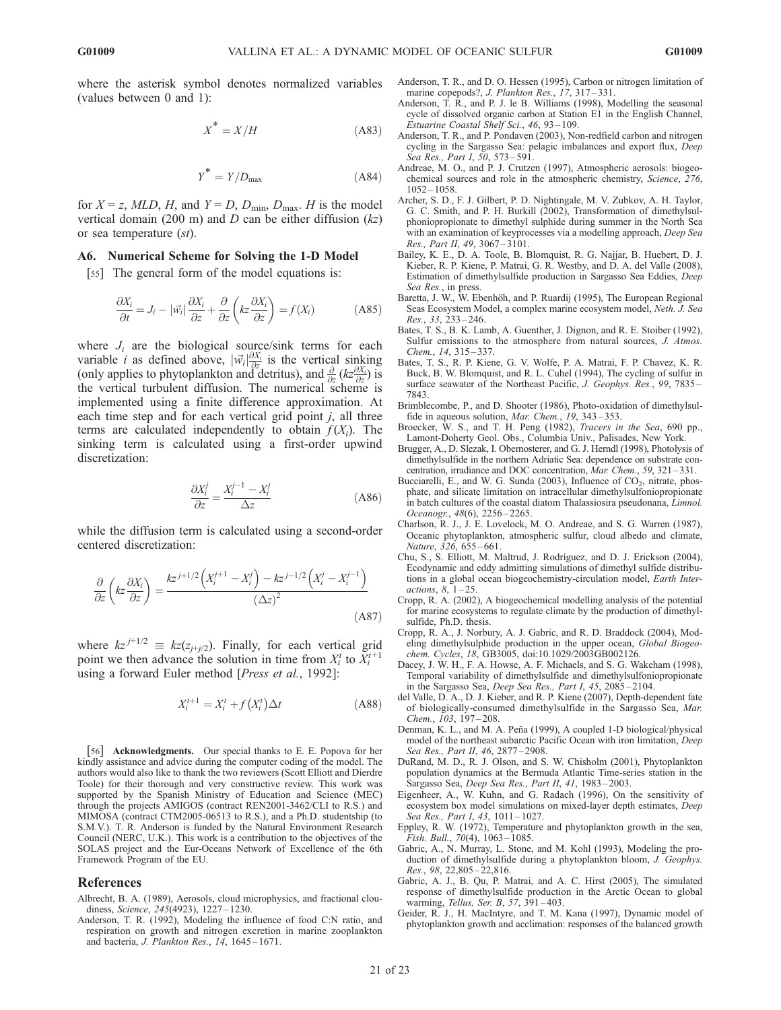where the asterisk symbol denotes normalized variables (values between 0 and 1):

$$
X^* = X/H \tag{A83}
$$

$$
Y^* = Y/D_{\text{max}} \tag{A84}
$$

for  $X = z$ , MLD, H, and  $Y = D$ ,  $D_{\text{min}}$ ,  $D_{\text{max}}$ . H is the model vertical domain (200 m) and  $D$  can be either diffusion  $(kz)$ or sea temperature (st).

#### A6. Numerical Scheme for Solving the 1-D Model

[55] The general form of the model equations is:

$$
\frac{\partial X_i}{\partial t} = J_i - |\vec{w_i}| \frac{\partial X_i}{\partial z} + \frac{\partial}{\partial z} \left( k z \frac{\partial X_i}{\partial z} \right) = f(X_i)
$$
 (A85)

where  $J_i$  are the biological source/sink terms for each variable *i* as defined above,  $|\vec{w}_i| \frac{\partial X_i}{\partial z}$  is the vertical sinking (only applies to phytoplankton and detritus), and  $\frac{\partial}{\partial z}$  ( $kz\frac{\partial X_i}{\partial z}$ ) is the vertical turbulent diffusion. The numerical scheme is implemented using a finite difference approximation. At each time step and for each vertical grid point *j*, all three terms are calculated independently to obtain  $f(X_i)$ . The sinking term is calculated using a first-order upwind discretization:

$$
\frac{\partial X_i^j}{\partial z} = \frac{X_i^{j-1} - X_i^j}{\Delta z} \tag{A86}
$$

while the diffusion term is calculated using a second-order centered discretization:

$$
\frac{\partial}{\partial z}\left(kz\frac{\partial X_i}{\partial z}\right) = \frac{kz^{j+1/2}\left(X_i^{j+1} - X_i^j\right) - kz^{j-1/2}\left(X_i^j - X_i^{j-1}\right)}{(\Delta z)^2}
$$
\n(A87)

where  $kz^{j+1/2} \equiv kz(z_{j+j/2})$ . Finally, for each vertical grid point we then advance the solution in time from  $X_i^t$  to  $X_i^{t+1}$ using a forward Euler method [*Press et al.*, 1992]:

$$
X_i^{t+1} = X_i^t + f(X_i^t) \Delta t \tag{A88}
$$

[56] Acknowledgments. Our special thanks to E. E. Popova for her kindly assistance and advice during the computer coding of the model. The authors would also like to thank the two reviewers (Scott Elliott and Dierdre Toole) for their thorough and very constructive review. This work was supported by the Spanish Ministry of Education and Science (MEC) through the projects AMIGOS (contract REN2001-3462/CLI to R.S.) and MIMOSA (contract CTM2005-06513 to R.S.), and a Ph.D. studentship (to S.M.V.). T. R. Anderson is funded by the Natural Environment Research Council (NERC, U.K.). This work is a contribution to the objectives of the SOLAS project and the Eur-Oceans Network of Excellence of the 6th Framework Program of the EU.

#### References

- Albrecht, B. A. (1989), Aerosols, cloud microphysics, and fractional cloudiness, Science, 245(4923), 1227 – 1230.
- Anderson, T. R. (1992), Modeling the influence of food C:N ratio, and respiration on growth and nitrogen excretion in marine zooplankton and bacteria, J. Plankton Res., 14, 1645 – 1671.
- Anderson, T. R., and D. O. Hessen (1995), Carbon or nitrogen limitation of marine copepods?, J. Plankton Res., 17, 317-331.
- Anderson, T. R., and P. J. le B. Williams (1998), Modelling the seasonal cycle of dissolved organic carbon at Station E1 in the English Channel, Estuarine Coastal Shelf Sci., 46, 93 – 109.
- Anderson, T. R., and P. Pondaven (2003), Non-redfield carbon and nitrogen cycling in the Sargasso Sea: pelagic imbalances and export flux, Deep Sea Res., Part I, 50, 573-591.
- Andreae, M. O., and P. J. Crutzen (1997), Atmospheric aerosols: biogeochemical sources and role in the atmospheric chemistry, Science, 276, 1052 – 1058.
- Archer, S. D., F. J. Gilbert, P. D. Nightingale, M. V. Zubkov, A. H. Taylor, G. C. Smith, and P. H. Burkill (2002), Transformation of dimethylsulphoniopropionate to dimethyl sulphide during summer in the North Sea with an examination of keyprocesses via a modelling approach, Deep Sea Res., Part II, 49, 3067 – 3101.
- Bailey, K. E., D. A. Toole, B. Blomquist, R. G. Najjar, B. Huebert, D. J. Kieber, R. P. Kiene, P. Matrai, G. R. Westby, and D. A. del Valle (2008), Estimation of dimethylsulfide production in Sargasso Sea Eddies, Deep Sea Res., in press.
- Baretta, J. W., W. Ebenhöh, and P. Ruardij (1995), The European Regional Seas Ecosystem Model, a complex marine ecosystem model, Neth. J. Sea Res., 33, 233 – 246.
- Bates, T. S., B. K. Lamb, A. Guenther, J. Dignon, and R. E. Stoiber (1992), Sulfur emissions to the atmosphere from natural sources, *J. Atmos.* Chem., 14, 315 – 337.
- Bates, T. S., R. P. Kiene, G. V. Wolfe, P. A. Matrai, F. P. Chavez, K. R. Buck, B. W. Blomquist, and R. L. Cuhel (1994), The cycling of sulfur in surface seawater of the Northeast Pacific, J. Geophys. Res., 99, 7835-7843.
- Brimblecombe, P., and D. Shooter (1986), Photo-oxidation of dimethylsulfide in aqueous solution, Mar. Chem., 19, 343-353.
- Broecker, W. S., and T. H. Peng (1982), *Tracers in the Sea*, 690 pp., Lamont-Doherty Geol. Obs., Columbia Univ., Palisades, New York.
- Brugger, A., D. Slezak, I. Obernosterer, and G. J. Herndl (1998), Photolysis of dimethylsulfide in the northern Adriatic Sea: dependence on substrate concentration, irradiance and DOC concentration, Mar. Chem., 59, 321-331.
- Bucciarelli, E., and W. G. Sunda (2003), Influence of  $CO<sub>2</sub>$ , nitrate, phosphate, and silicate limitation on intracellular dimethylsulfoniopropionate in batch cultures of the coastal diatom Thalassiosira pseudonana, Limnol. Oceanogr., 48(6), 2256-2265.
- Charlson, R. J., J. E. Lovelock, M. O. Andreae, and S. G. Warren (1987), Oceanic phytoplankton, atmospheric sulfur, cloud albedo and climate, Nature, 326, 655-661.
- Chu, S., S. Elliott, M. Maltrud, J. Rodríguez, and D. J. Erickson (2004), Ecodynamic and eddy admitting simulations of dimethyl sulfide distributions in a global ocean biogeochemistry-circulation model, Earth Interactions,  $8, 1-25$ .
- Cropp, R. A. (2002), A biogeochemical modelling analysis of the potential for marine ecosystems to regulate climate by the production of dimethylsulfide, Ph.D. thesis.
- Cropp, R. A., J. Norbury, A. J. Gabric, and R. D. Braddock (2004), Modeling dimethylsulphide production in the upper ocean, Global Biogeochem. Cycles, 18, GB3005, doi:10.1029/2003GB002126.
- Dacey, J. W. H., F. A. Howse, A. F. Michaels, and S. G. Wakeham (1998), Temporal variability of dimethylsulfide and dimethylsulfoniopropionate in the Sargasso Sea, Deep Sea Res., Part I, 45, 2085-2104.
- del Valle, D. A., D. J. Kieber, and R. P. Kiene (2007), Depth-dependent fate of biologically-consumed dimethylsulfide in the Sargasso Sea, Mar. Chem., 103, 197–208.
- Denman, K. L., and M. A. Peña (1999), A coupled 1-D biological/physical model of the northeast subarctic Pacific Ocean with iron limitation, Deep Sea Res., Part II, 46, 2877-2908.
- DuRand, M. D., R. J. Olson, and S. W. Chisholm (2001), Phytoplankton population dynamics at the Bermuda Atlantic Time-series station in the Sargasso Sea, Deep Sea Res., Part II, 41, 1983-2003.
- Eigenheer, A., W. Kuhn, and G. Radach (1996), On the sensitivity of ecosystem box model simulations on mixed-layer depth estimates, Deep Sea Res., Part I, 43, 1011-1027.
- Eppley, R. W. (1972), Temperature and phytoplankton growth in the sea, Fish. Bull., 70(4), 1063 – 1085.
- Gabric, A., N. Murray, L. Stone, and M. Kohl (1993), Modeling the production of dimethylsulfide during a phytoplankton bloom, *J. Geophys.* Res., 98, 22,805 – 22,816.
- Gabric, A. J., B. Qu, P. Matrai, and A. C. Hirst (2005), The simulated response of dimethylsulfide production in the Arctic Ocean to global warming, Tellus, Ser. B, 57,  $391-403$ .
- Geider, R. J., H. MacIntyre, and T. M. Kana (1997), Dynamic model of phytoplankton growth and acclimation: responses of the balanced growth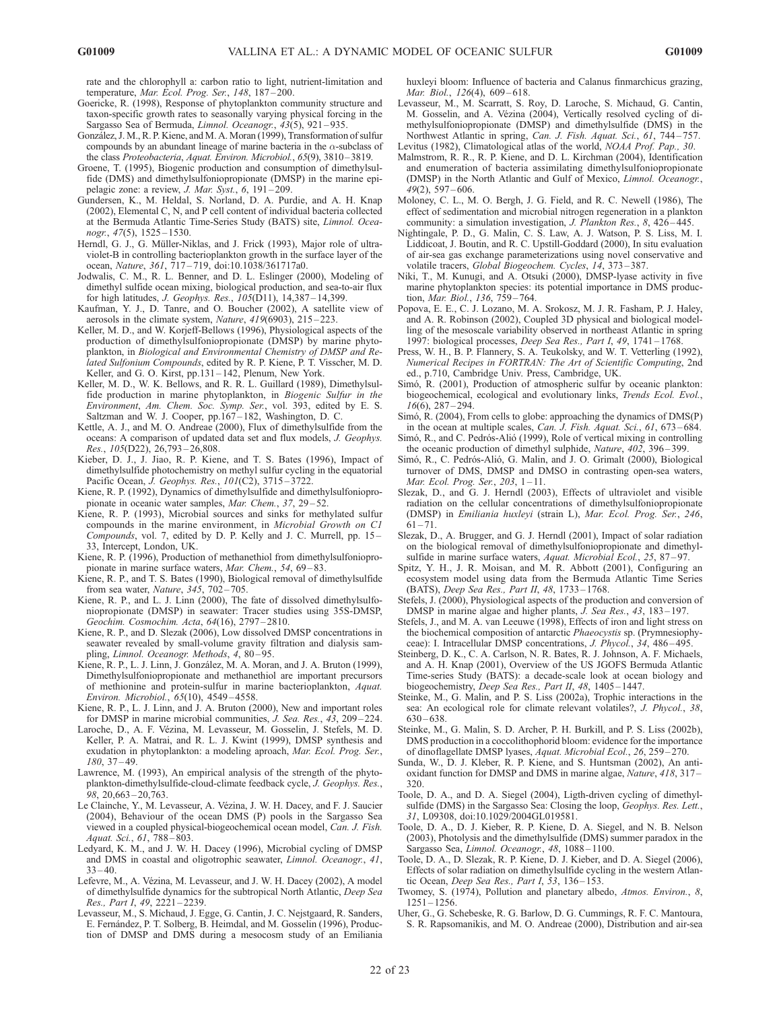rate and the chlorophyll a: carbon ratio to light, nutrient-limitation and temperature, Mar. Ecol. Prog. Ser., 148, 187-200.

- Goericke, R. (1998), Response of phytoplankton community structure and taxon-specific growth rates to seasonally varying physical forcing in the Sargasso Sea of Bermuda, Limnol. Oceanogr.,  $\overline{43(5)}$ , 921–935.
- Gonza´lez, J. M., R. P. Kiene, and M. A. Moran (1999), Transformation of sulfur compounds by an abundant lineage of marine bacteria in the  $\alpha$ -subclass of the class Proteobacteria, Aquat. Environ. Microbiol., 65(9), 3810-3819.
- Groene, T. (1995), Biogenic production and consumption of dimethylsulfide (DMS) and dimethylsulfoniopropionate (DMSP) in the marine epipelagic zone: a review, J. Mar. Syst., 6, 191-209.
- Gundersen, K., M. Heldal, S. Norland, D. A. Purdie, and A. H. Knap (2002), Elemental C, N, and P cell content of individual bacteria collected at the Bermuda Atlantic Time-Series Study (BATS) site, Limnol. Oceanogr., 47(5), 1525 – 1530.
- Herndl, G. J., G. Müller-Niklas, and J. Frick (1993), Major role of ultraviolet-B in controlling bacterioplankton growth in the surface layer of the ocean, Nature, 361, 717 – 719, doi:10.1038/361717a0.
- Jodwalis, C. M., R. L. Benner, and D. L. Eslinger (2000), Modeling of dimethyl sulfide ocean mixing, biological production, and sea-to-air flux for high latitudes, J. Geophys. Res., 105(D11), 14,387 – 14,399.
- Kaufman, Y. J., D. Tanre, and O. Boucher (2002), A satellite view of aerosols in the climate system, Nature, 419(6903), 215-223.
- Keller, M. D., and W. Korjeff-Bellows (1996), Physiological aspects of the production of dimethylsulfoniopropionate (DMSP) by marine phytoplankton, in Biological and Environmental Chemistry of DMSP and Related Sulfonium Compounds, edited by R. P. Kiene, P. T. Visscher, M. D. Keller, and G. O. Kirst, pp.131-142, Plenum, New York.
- Keller, M. D., W. K. Bellows, and R. R. L. Guillard (1989), Dimethylsulfide production in marine phytoplankton, in Biogenic Sulfur in the Environment, Am. Chem. Soc. Symp. Ser., vol. 393, edited by E. S. Saltzman and W. J. Cooper, pp.167 – 182, Washington, D. C.
- Kettle, A. J., and M. O. Andreae (2000), Flux of dimethylsulfide from the oceans: A comparison of updated data set and flux models, J. Geophys. Res., 105(D22), 26,793-26,808.
- Kieber, D. J., J. Jiao, R. P. Kiene, and T. S. Bates (1996), Impact of dimethylsulfide photochemistry on methyl sulfur cycling in the equatorial Pacific Ocean, *J. Geophys. Res.*, 101(C2), 3715-3722.
- Kiene, R. P. (1992), Dynamics of dimethylsulfide and dimethylsulfoniopropionate in oceanic water samples, Mar. Chem., 37, 29-52.
- Kiene, R. P. (1993), Microbial sources and sinks for methylated sulfur compounds in the marine environment, in Microbial Growth on C1 Compounds, vol. 7, edited by D. P. Kelly and J. C. Murrell, pp. 15– 33, Intercept, London, UK.
- Kiene, R. P. (1996), Production of methanethiol from dimethylsulfoniopropionate in marine surface waters, Mar. Chem., 54, 69-83.
- Kiene, R. P., and T. S. Bates (1990), Biological removal of dimethylsulfide from sea water, Nature, 345, 702 – 705.
- Kiene, R. P., and L. J. Linn (2000), The fate of dissolved dimethylsulfoniopropionate (DMSP) in seawater: Tracer studies using 35S-DMSP, Geochim. Cosmochim. Acta, 64(16), 2797 – 2810.
- Kiene, R. P., and D. Slezak (2006), Low dissolved DMSP concentrations in seawater revealed by small-volume gravity filtration and dialysis sampling, Limnol. Oceanogr. Methods, 4, 80-95.
- Kiene, R. P., L. J. Linn, J. González, M. A. Moran, and J. A. Bruton (1999), Dimethylsulfoniopropionate and methanethiol are important precursors of methionine and protein-sulfur in marine bacterioplankton, Aquat. Environ. Microbiol., 65(10), 4549 – 4558.
- Kiene, R. P., L. J. Linn, and J. A. Bruton (2000), New and important roles for DMSP in marine microbial communities, J. Sea. Res., 43, 209 – 224.
- Laroche, D., A. F. Vézina, M. Levasseur, M. Gosselin, J. Stefels, M. D. Keller, P. A. Matrai, and R. L. J. Kwint (1999), DMSP synthesis and exudation in phytoplankton: a modeling aproach, Mar. Ecol. Prog. Ser., 180, 37 – 49.
- Lawrence, M. (1993), An empirical analysis of the strength of the phytoplankton-dimethylsulfide-cloud-climate feedback cycle, J. Geophys. Res., 98, 20,663 – 20,763.
- Le Clainche, Y., M. Levasseur, A. Vézina, J. W. H. Dacey, and F. J. Saucier (2004), Behaviour of the ocean DMS (P) pools in the Sargasso Sea viewed in a coupled physical-biogeochemical ocean model, Can. J. Fish. Aquat. Sci., 61, 788 – 803.
- Ledyard, K. M., and J. W. H. Dacey (1996), Microbial cycling of DMSP and DMS in coastal and oligotrophic seawater, Limnol. Oceanogr., 41,  $33 - 40.$
- Lefevre, M., A. Vézina, M. Levasseur, and J. W. H. Dacey (2002), A model of dimethylsulfide dynamics for the subtropical North Atlantic, Deep Sea Res., Part I, 49, 2221-2239.
- Levasseur, M., S. Michaud, J. Egge, G. Cantin, J. C. Nejstgaard, R. Sanders, E. Fernández, P. T. Solberg, B. Heimdal, and M. Gosselin (1996), Production of DMSP and DMS during a mesocosm study of an Emiliania

huxleyi bloom: Influence of bacteria and Calanus finmarchicus grazing, Mar. Biol., 126(4), 609-618.

- Levasseur, M., M. Scarratt, S. Roy, D. Laroche, S. Michaud, G. Cantin, M. Gosselin, and A. Vézina (2004), Vertically resolved cycling of dimethylsulfoniopropionate (DMSP) and dimethylsulfide (DMS) in the Northwest Atlantic in spring, Can. J. Fish. Aquat. Sci., 61, 744–757.
- Levitus (1982), Climatological atlas of the world, NOAA Prof. Pap., 30.
- Malmstrom, R. R., R. P. Kiene, and D. L. Kirchman (2004), Identification and enumeration of bacteria assimilating dimethylsulfoniopropionate (DMSP) in the North Atlantic and Gulf of Mexico, Limnol. Oceanogr.,  $49(2)$ , 597-606.
- Moloney, C. L., M. O. Bergh, J. G. Field, and R. C. Newell (1986), The effect of sedimentation and microbial nitrogen regeneration in a plankton community: a simulation investigation, *J. Plankton Res.*,  $8$ ,  $426 - 445$ .
- Nightingale, P. D., G. Malin, C. S. Law, A. J. Watson, P. S. Liss, M. I. Liddicoat, J. Boutin, and R. C. Upstill-Goddard (2000), In situ evaluation of air-sea gas exchange parameterizations using novel conservative and volatile tracers, Global Biogeochem. Cycles, 14, 373-387.
- Niki, T., M. Kunugi, and A. Otsuki (2000), DMSP-lyase activity in five marine phytoplankton species: its potential importance in DMS production, Mar. Biol., 136, 759-764.
- Popova, E. E., C. J. Lozano, M. A. Srokosz, M. J. R. Fasham, P. J. Haley, and A. R. Robinson (2002), Coupled 3D physical and biological modelling of the mesoscale variability observed in northeast Atlantic in spring 1997: biological processes, Deep Sea Res., Part I, 49, 1741 – 1768.
- Press, W. H., B. P. Flannery, S. A. Teukolsky, and W. T. Vetterling (1992), Numerical Recipes in FORTRAN: The Art of Scientific Computing, 2nd ed., p.710, Cambridge Univ. Press, Cambridge, UK.
- Simó, R. (2001), Production of atmospheric sulfur by oceanic plankton: biogeochemical, ecological and evolutionary links, Trends Ecol. Evol.,  $16(6)$ , 287-294.
- Simó, R. (2004), From cells to globe: approaching the dynamics of DMS(P) in the ocean at multiple scales, Can. J. Fish. Aquat. Sci., 61, 673-684.
- Simó, R., and C. Pedrós-Alió (1999), Role of vertical mixing in controlling the oceanic production of dimethyl sulphide, Nature, 402, 396-399.
- Simó, R., C. Pedrós-Alió, G. Malin, and J. O. Grimalt (2000), Biological turnover of DMS, DMSP and DMSO in contrasting open-sea waters, Mar. Ecol. Prog. Ser., 203, 1 – 11.
- Slezak, D., and G. J. Herndl (2003), Effects of ultraviolet and visible radiation on the cellular concentrations of dimethylsulfoniopropionate (DMSP) in Emiliania huxleyi (strain L), Mar. Ecol. Prog. Ser., 246,  $61 - 71.$
- Slezak, D., A. Brugger, and G. J. Herndl (2001), Impact of solar radiation on the biological removal of dimethylsulfoniopropionate and dimethylsulfide in marine surface waters, Aquat. Microbial Ecol., 25, 87–97.
- Spitz, Y. H., J. R. Moisan, and M. R. Abbott (2001), Configuring an ecosystem model using data from the Bermuda Atlantic Time Series (BATS), Deep Sea Res., Part II, 48, 1733 – 1768.
- Stefels, J. (2000), Physiological aspects of the production and conversion of DMSP in marine algae and higher plants, J. Sea Res., 43, 183-197.
- Stefels, J., and M. A. van Leeuwe (1998), Effects of iron and light stress on the biochemical composition of antarctic Phaeocystis sp. (Prymnesiophyceae): I. Intracellular DMSP concentrations, *J. Phycol.*,  $34$ ,  $486-495$ .
- Steinberg, D. K., C. A. Carlson, N. R. Bates, R. J. Johnson, A. F. Michaels, and A. H. Knap (2001), Overview of the US JGOFS Bermuda Atlantic Time-series Study (BATS): a decade-scale look at ocean biology and biogeochemistry, Deep Sea Res., Part II, 48, 1405-1447.
- Steinke, M., G. Malin, and P. S. Liss (2002a), Trophic interactions in the sea: An ecological role for climate relevant volatiles?, J. Phycol., 38,  $630 - 638$ .
- Steinke, M., G. Malin, S. D. Archer, P. H. Burkill, and P. S. Liss (2002b), DMS production in a coccolithophorid bloom: evidence for the importance of dinoflagellate DMSP lyases, Aquat. Microbial Ecol., 26, 259 – 270.
- Sunda, W., D. J. Kleber, R. P. Kiene, and S. Huntsman (2002), An antioxidant function for DMSP and DMS in marine algae, Nature, 418, 317 – 320.
- Toole, D. A., and D. A. Siegel (2004), Ligth-driven cycling of dimethylsulfide (DMS) in the Sargasso Sea: Closing the loop, Geophys. Res. Lett., 31, L09308, doi:10.1029/2004GL019581.
- Toole, D. A., D. J. Kieber, R. P. Kiene, D. A. Siegel, and N. B. Nelson (2003), Photolysis and the dimethylsulfide (DMS) summer paradox in the Sargasso Sea, Limnol. Oceanogr., 48, 1088-1100.
- Toole, D. A., D. Slezak, R. P. Kiene, D. J. Kieber, and D. A. Siegel (2006), Effects of solar radiation on dimethylsulfide cycling in the western Atlantic Ocean, Deep Sea Res., Part I, 53, 136-153.
- Twomey, S. (1974), Pollution and planetary albedo, Atmos. Environ., 8,  $1251 - 1256$
- Uher, G., G. Schebeske, R. G. Barlow, D. G. Cummings, R. F. C. Mantoura, S. R. Rapsomanikis, and M. O. Andreae (2000), Distribution and air-sea